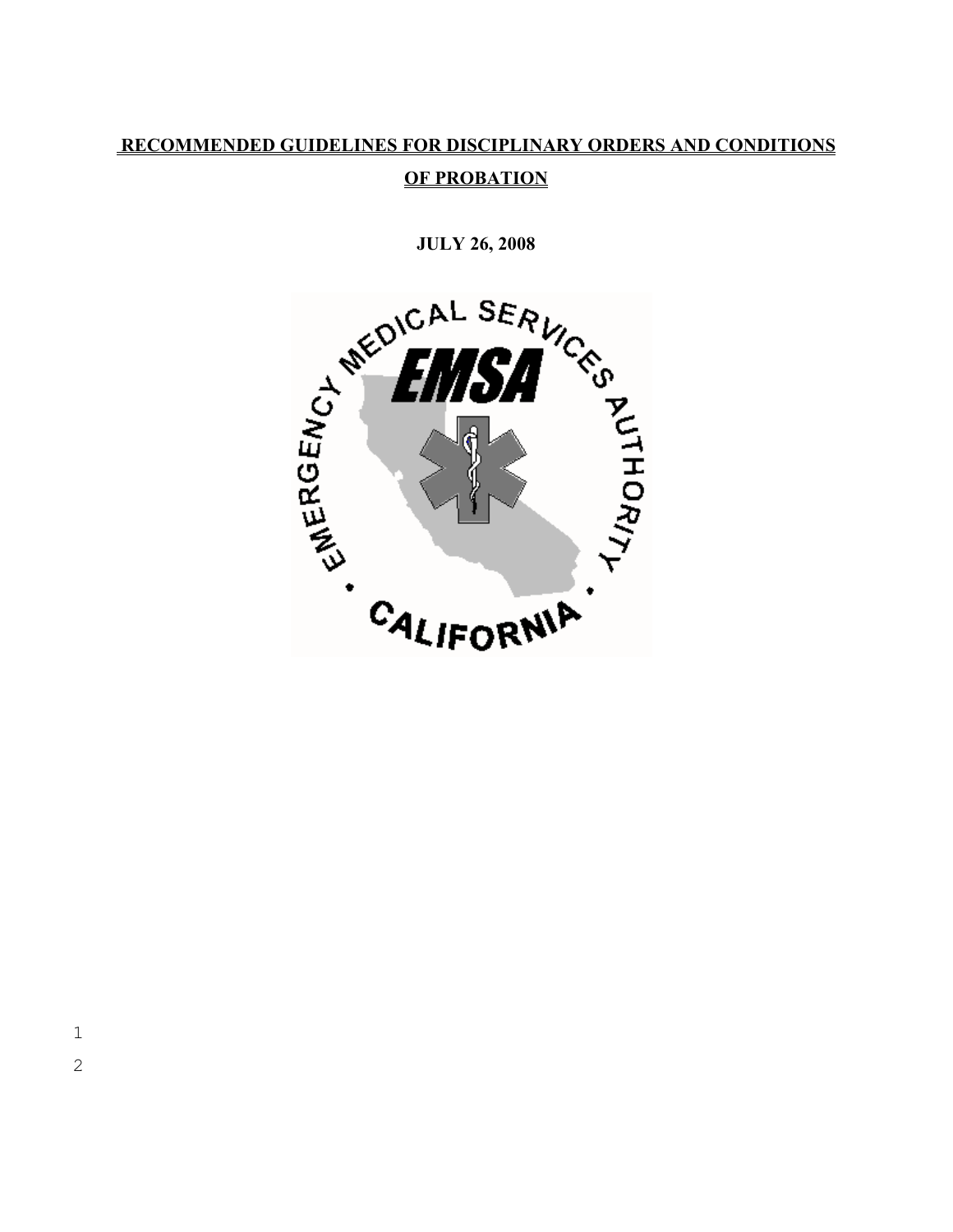# **RECOMMENDED GUIDELINES FOR DISCIPLINARY ORDERS AND CONDITIONS OF PROBATION**

**JULY 26, 2008** 

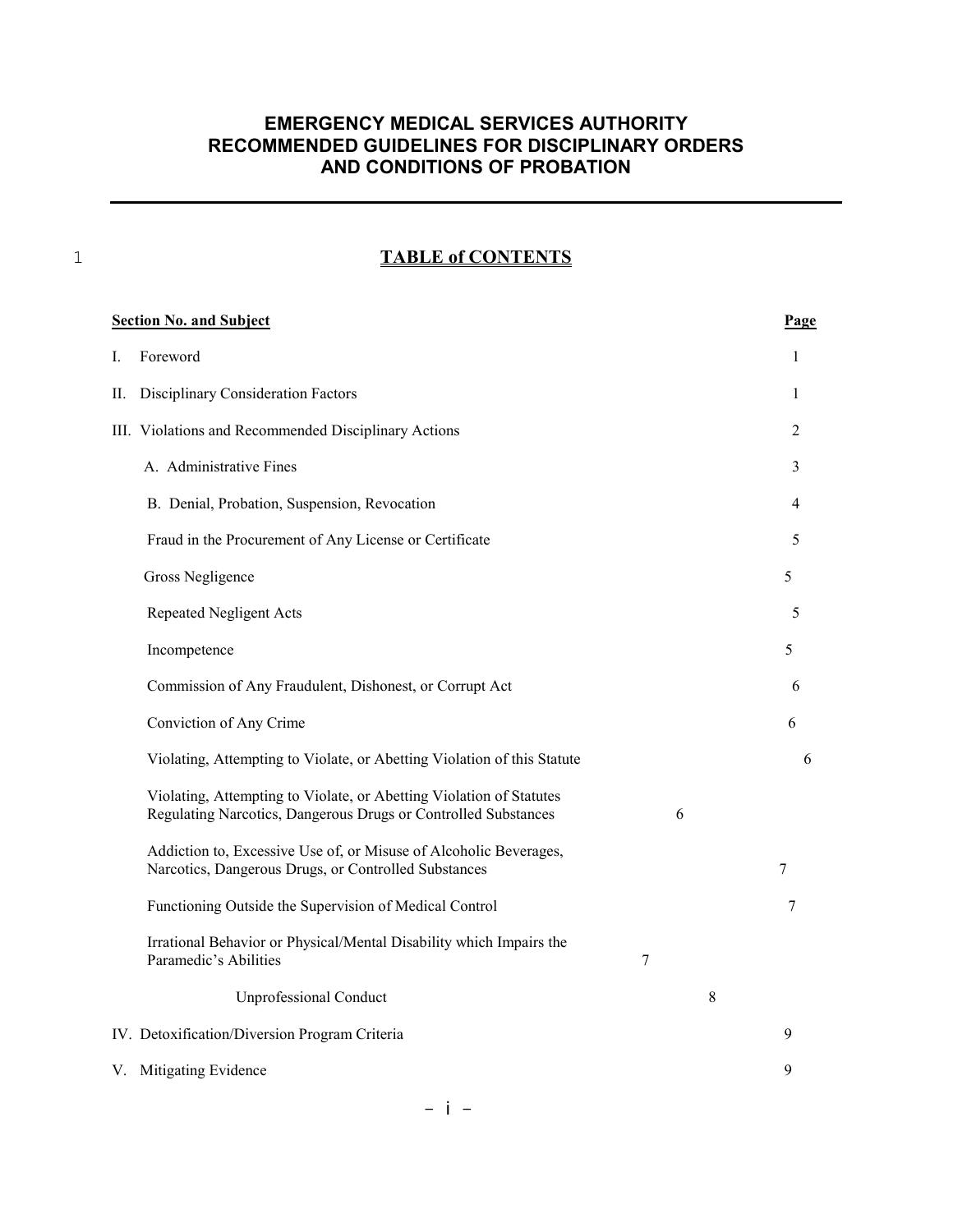#### 1 **TABLE of CONTENTS**

| <b>Section No. and Subject</b> |                                                                                                                                       |   | Page |
|--------------------------------|---------------------------------------------------------------------------------------------------------------------------------------|---|------|
| I.                             | Foreword                                                                                                                              |   | 1    |
| П.                             | Disciplinary Consideration Factors                                                                                                    |   | 1    |
|                                | III. Violations and Recommended Disciplinary Actions                                                                                  |   | 2    |
|                                | A. Administrative Fines                                                                                                               |   | 3    |
|                                | B. Denial, Probation, Suspension, Revocation                                                                                          |   | 4    |
|                                | Fraud in the Procurement of Any License or Certificate                                                                                |   | 5    |
|                                | Gross Negligence                                                                                                                      |   | 5    |
|                                | <b>Repeated Negligent Acts</b>                                                                                                        |   | 5    |
|                                | Incompetence                                                                                                                          |   | 5    |
|                                | Commission of Any Fraudulent, Dishonest, or Corrupt Act                                                                               |   | 6    |
|                                | Conviction of Any Crime                                                                                                               |   | 6    |
|                                | Violating, Attempting to Violate, or Abetting Violation of this Statute                                                               |   | 6    |
|                                | Violating, Attempting to Violate, or Abetting Violation of Statutes<br>Regulating Narcotics, Dangerous Drugs or Controlled Substances | 6 |      |
|                                | Addiction to, Excessive Use of, or Misuse of Alcoholic Beverages,<br>Narcotics, Dangerous Drugs, or Controlled Substances             |   | 7    |
|                                | Functioning Outside the Supervision of Medical Control                                                                                |   | 7    |
|                                | Irrational Behavior or Physical/Mental Disability which Impairs the<br>Paramedic's Abilities                                          | 7 |      |
|                                | <b>Unprofessional Conduct</b>                                                                                                         | 8 |      |
|                                | IV. Detoxification/Diversion Program Criteria                                                                                         |   | 9    |
|                                | V. Mitigating Evidence                                                                                                                |   | 9    |

- i -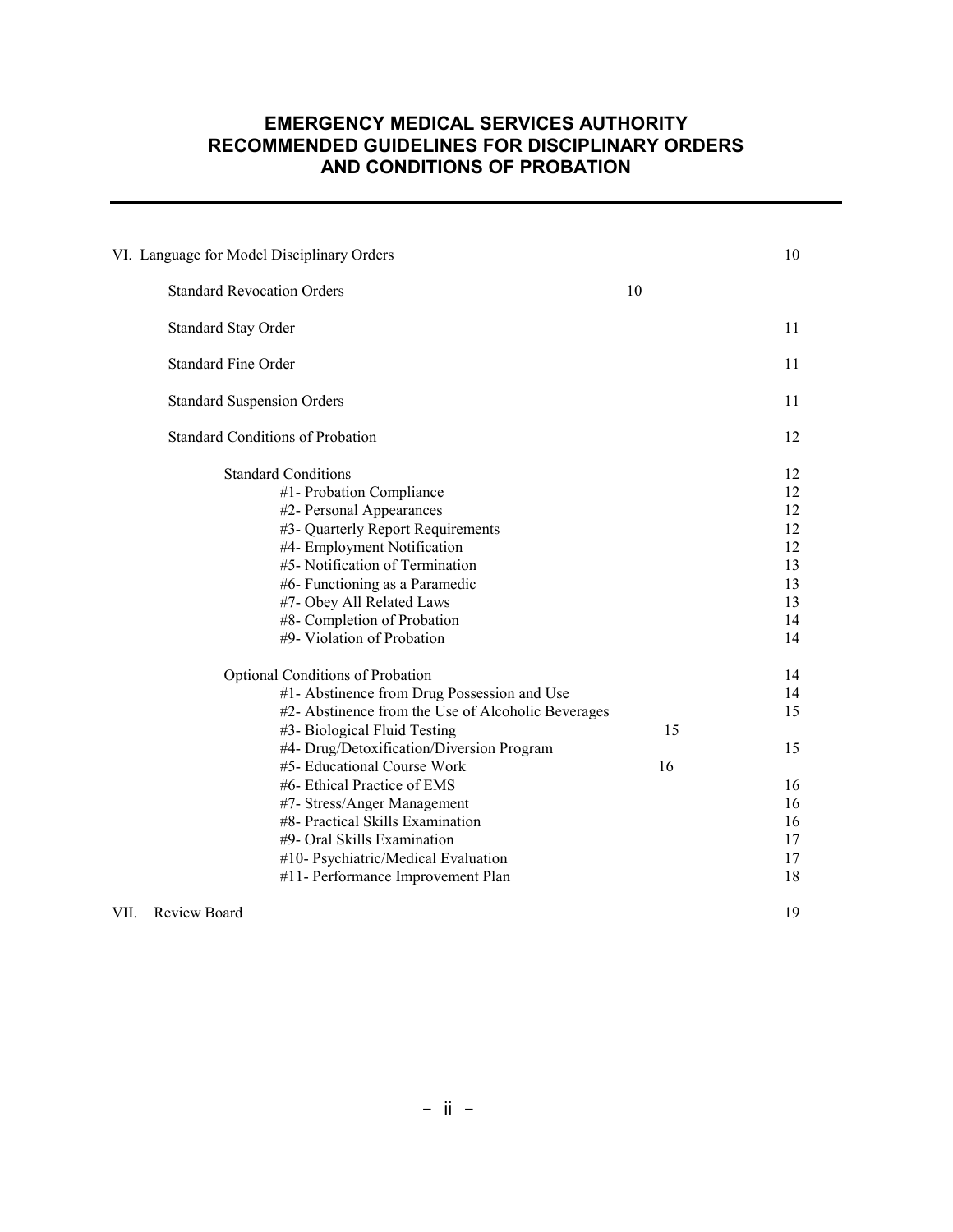|                                         | VI. Language for Model Disciplinary Orders                                                                                                                                                                                                                                                                                                                                                                                                                                                                                                                                                                                                                                          |          | 10                                                                                                 |
|-----------------------------------------|-------------------------------------------------------------------------------------------------------------------------------------------------------------------------------------------------------------------------------------------------------------------------------------------------------------------------------------------------------------------------------------------------------------------------------------------------------------------------------------------------------------------------------------------------------------------------------------------------------------------------------------------------------------------------------------|----------|----------------------------------------------------------------------------------------------------|
|                                         | <b>Standard Revocation Orders</b>                                                                                                                                                                                                                                                                                                                                                                                                                                                                                                                                                                                                                                                   | 10       |                                                                                                    |
|                                         | <b>Standard Stay Order</b>                                                                                                                                                                                                                                                                                                                                                                                                                                                                                                                                                                                                                                                          |          | 11                                                                                                 |
|                                         | <b>Standard Fine Order</b>                                                                                                                                                                                                                                                                                                                                                                                                                                                                                                                                                                                                                                                          |          | 11                                                                                                 |
|                                         | <b>Standard Suspension Orders</b>                                                                                                                                                                                                                                                                                                                                                                                                                                                                                                                                                                                                                                                   |          | 11                                                                                                 |
| <b>Standard Conditions of Probation</b> |                                                                                                                                                                                                                                                                                                                                                                                                                                                                                                                                                                                                                                                                                     | 12       |                                                                                                    |
|                                         | <b>Standard Conditions</b><br>#1- Probation Compliance<br>#2- Personal Appearances<br>#3- Quarterly Report Requirements<br>#4- Employment Notification<br>#5- Notification of Termination<br>#6- Functioning as a Paramedic<br>#7- Obey All Related Laws<br>#8- Completion of Probation<br>#9- Violation of Probation<br><b>Optional Conditions of Probation</b><br>#1- Abstinence from Drug Possession and Use<br>#2- Abstinence from the Use of Alcoholic Beverages<br>#3- Biological Fluid Testing<br>#4- Drug/Detoxification/Diversion Program<br>#5- Educational Course Work<br>#6- Ethical Practice of EMS<br>#7- Stress/Anger Management<br>#8- Practical Skills Examination | 15<br>16 | 12<br>12<br>12<br>12<br>12<br>13<br>13<br>13<br>14<br>14<br>14<br>14<br>15<br>15<br>16<br>16<br>16 |
|                                         | #9- Oral Skills Examination<br>#10- Psychiatric/Medical Evaluation                                                                                                                                                                                                                                                                                                                                                                                                                                                                                                                                                                                                                  |          | 17<br>17                                                                                           |
| Review Board<br>VII.                    | #11- Performance Improvement Plan                                                                                                                                                                                                                                                                                                                                                                                                                                                                                                                                                                                                                                                   |          | 18<br>19                                                                                           |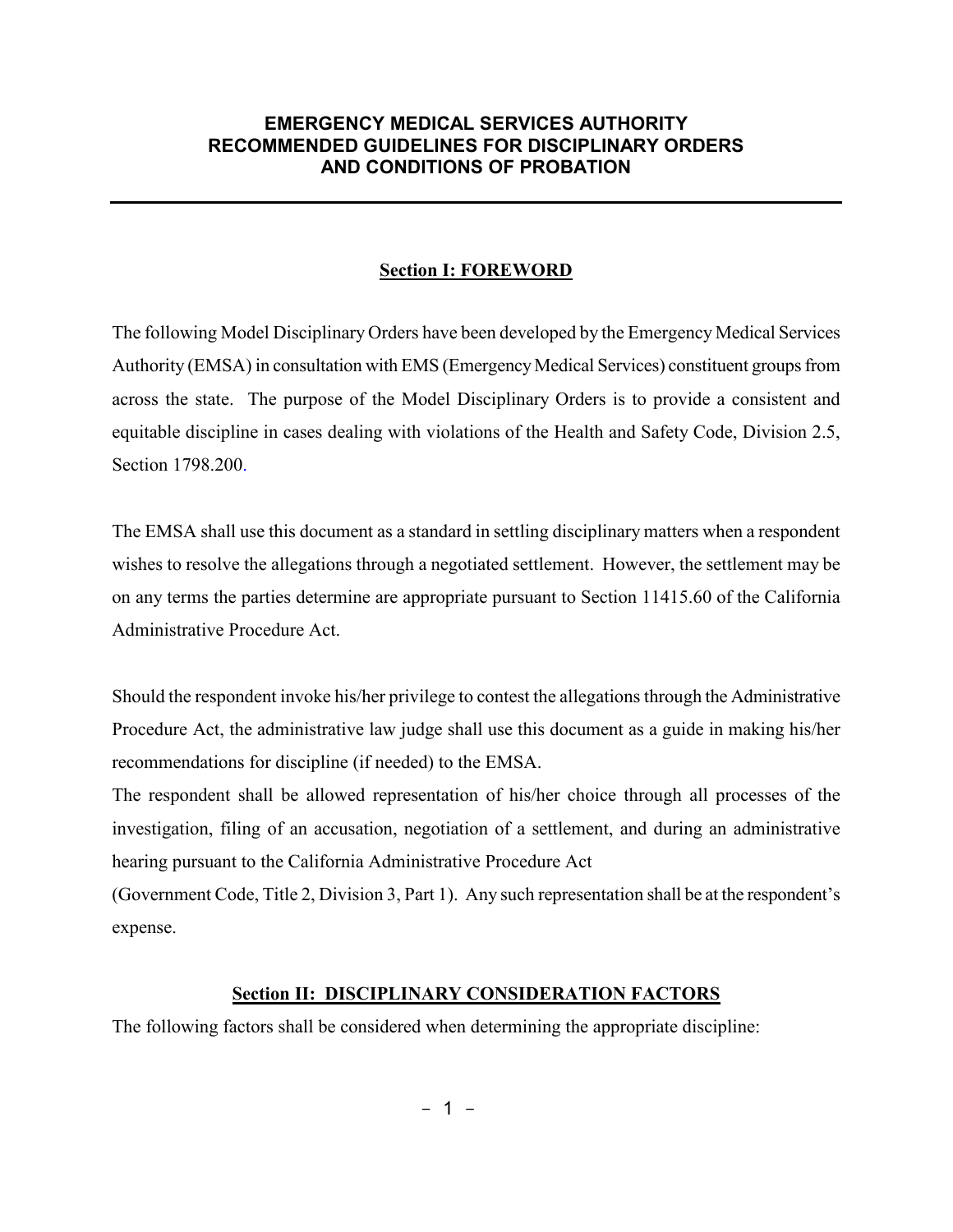#### **Section I: FOREWORD**

The following Model Disciplinary Orders have been developed by the Emergency Medical Services Authority (EMSA) in consultation with EMS (Emergency Medical Services) constituent groups from across the state. The purpose of the Model Disciplinary Orders is to provide a consistent and equitable discipline in cases dealing with violations of the Health and Safety Code, Division 2.5, Section 1798.200.

The EMSA shall use this document as a standard in settling disciplinary matters when a respondent wishes to resolve the allegations through a negotiated settlement. However, the settlement may be on any terms the parties determine are appropriate pursuant to Section 11415.60 of the California Administrative Procedure Act.

Should the respondent invoke his/her privilege to contest the allegations through the Administrative Procedure Act, the administrative law judge shall use this document as a guide in making his/her recommendations for discipline (if needed) to the EMSA.

The respondent shall be allowed representation of his/her choice through all processes of the investigation, filing of an accusation, negotiation of a settlement, and during an administrative hearing pursuant to the California Administrative Procedure Act

(Government Code, Title 2, Division 3, Part 1). Any such representation shall be at the respondent's expense.

#### **Section II: DISCIPLINARY CONSIDERATION FACTORS**

The following factors shall be considered when determining the appropriate discipline: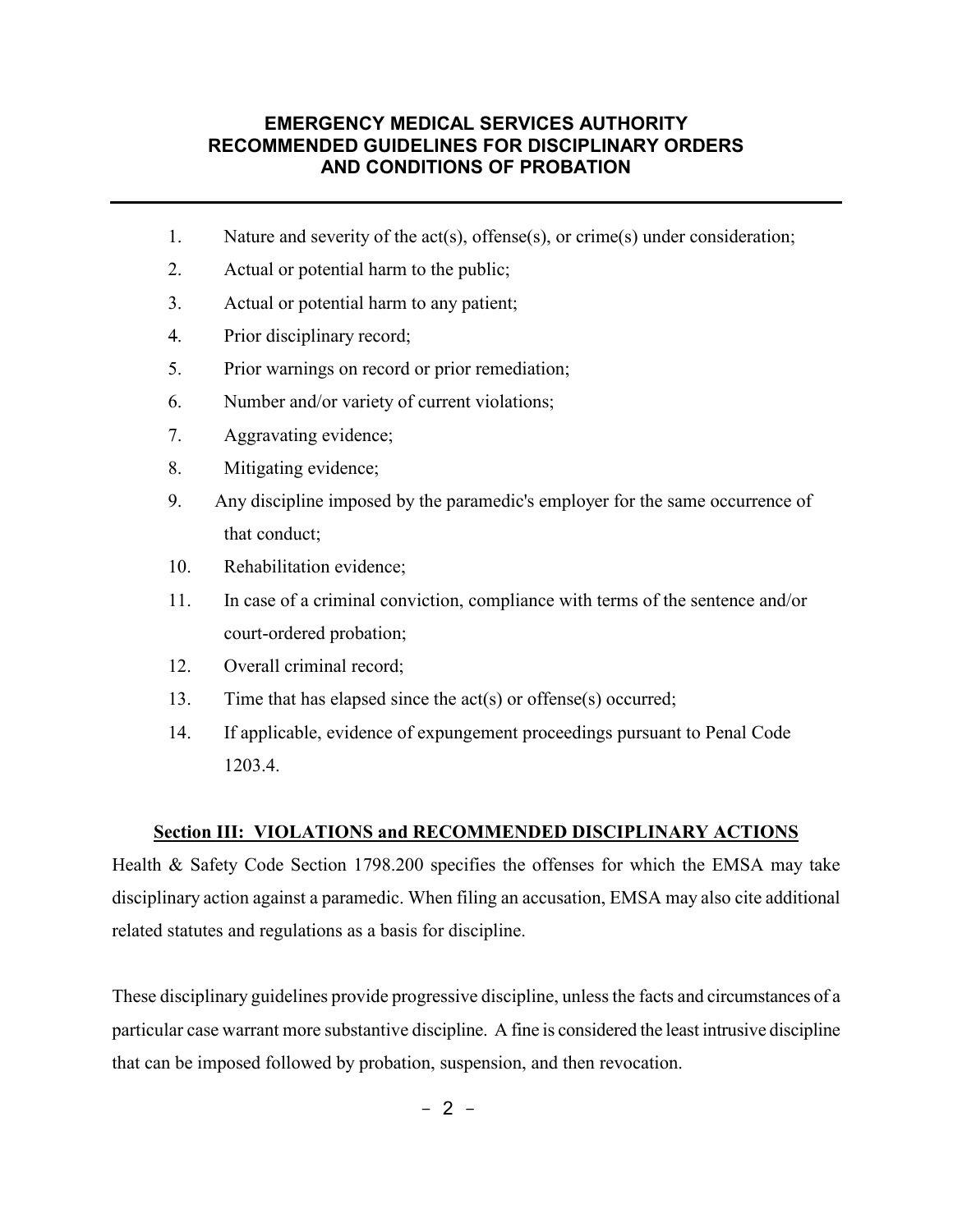- 1. Nature and severity of the act(s), offense(s), or crime(s) under consideration;
- 2. Actual or potential harm to the public;
- 3. Actual or potential harm to any patient;
- 4. Prior disciplinary record;
- 5. Prior warnings on record or prior remediation;
- 6. Number and/or variety of current violations;
- 7. Aggravating evidence;
- 8. Mitigating evidence;
- 9. Any discipline imposed by the paramedic's employer for the same occurrence of that conduct;
- 10. Rehabilitation evidence;
- 11. In case of a criminal conviction, compliance with terms of the sentence and/or court-ordered probation;
- 12. Overall criminal record;
- 13. Time that has elapsed since the act(s) or offense(s) occurred;
- 14. If applicable, evidence of expungement proceedings pursuant to Penal Code 1203.4.

#### **Section III: VIOLATIONS and RECOMMENDED DISCIPLINARY ACTIONS**

Health & Safety Code Section 1798.200 specifies the offenses for which the EMSA may take disciplinary action against a paramedic. When filing an accusation, EMSA may also cite additional related statutes and regulations as a basis for discipline.

These disciplinary guidelines provide progressive discipline, unless the facts and circumstances of a particular case warrant more substantive discipline. A fine is considered the least intrusive discipline that can be imposed followed by probation, suspension, and then revocation.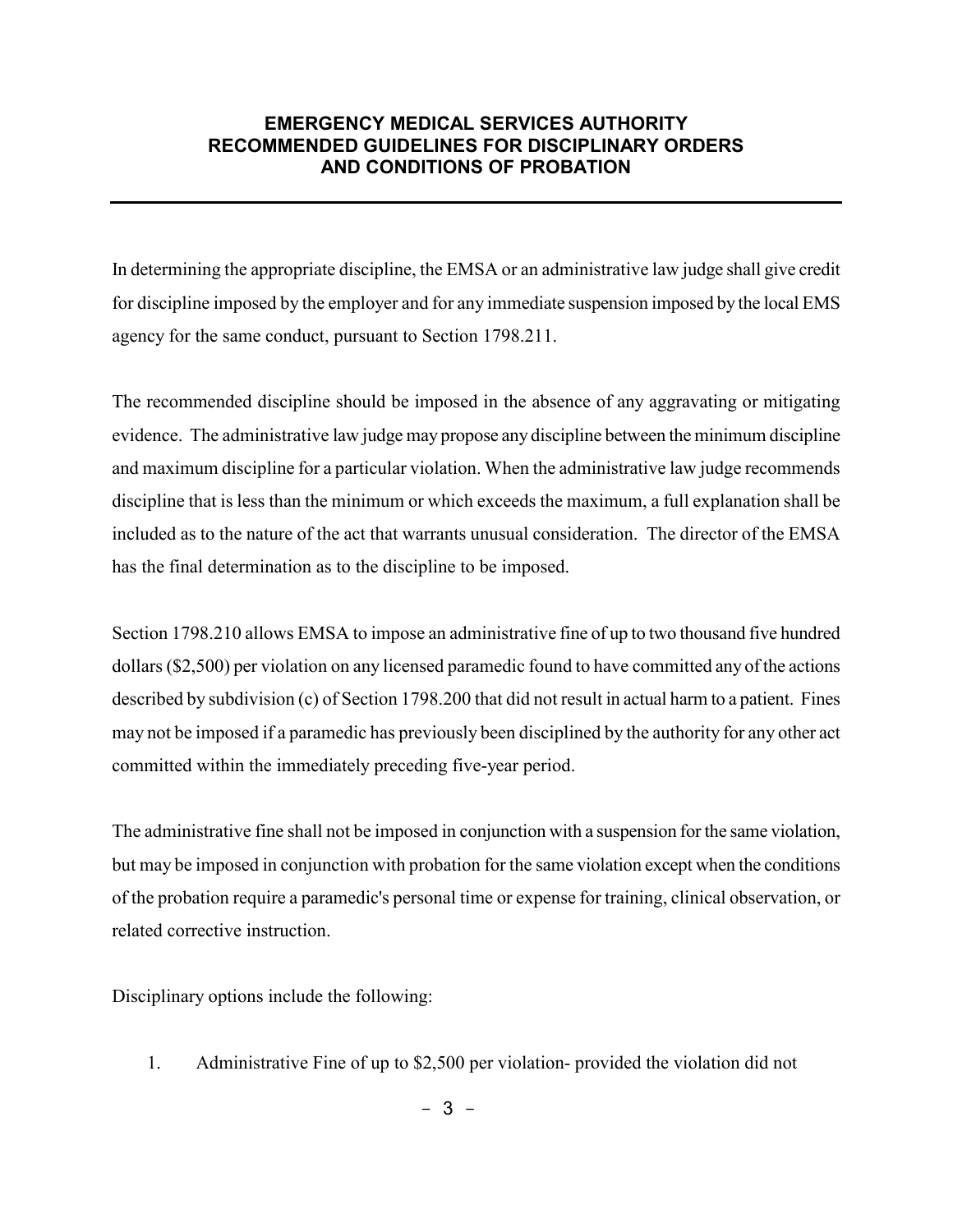In determining the appropriate discipline, the EMSA or an administrative law judge shall give credit for discipline imposed by the employer and for any immediate suspension imposed by the local EMS agency for the same conduct, pursuant to Section 1798.211.

The recommended discipline should be imposed in the absence of any aggravating or mitigating evidence. The administrative law judge may propose any discipline between the minimum discipline and maximum discipline for a particular violation. When the administrative law judge recommends discipline that is less than the minimum or which exceeds the maximum, a full explanation shall be included as to the nature of the act that warrants unusual consideration. The director of the EMSA has the final determination as to the discipline to be imposed.

Section 1798.210 allows EMSA to impose an administrative fine of up to two thousand five hundred dollars (\$2,500) per violation on any licensed paramedic found to have committed any of the actions described by subdivision (c) of Section 1798.200 that did not result in actual harm to a patient. Fines may not be imposed if a paramedic has previously been disciplined by the authority for any other act committed within the immediately preceding five-year period.

The administrative fine shall not be imposed in conjunction with a suspension for the same violation, but may be imposed in conjunction with probation for the same violation except when the conditions of the probation require a paramedic's personal time or expense for training, clinical observation, or related corrective instruction.

Disciplinary options include the following:

1. Administrative Fine of up to \$2,500 per violation- provided the violation did not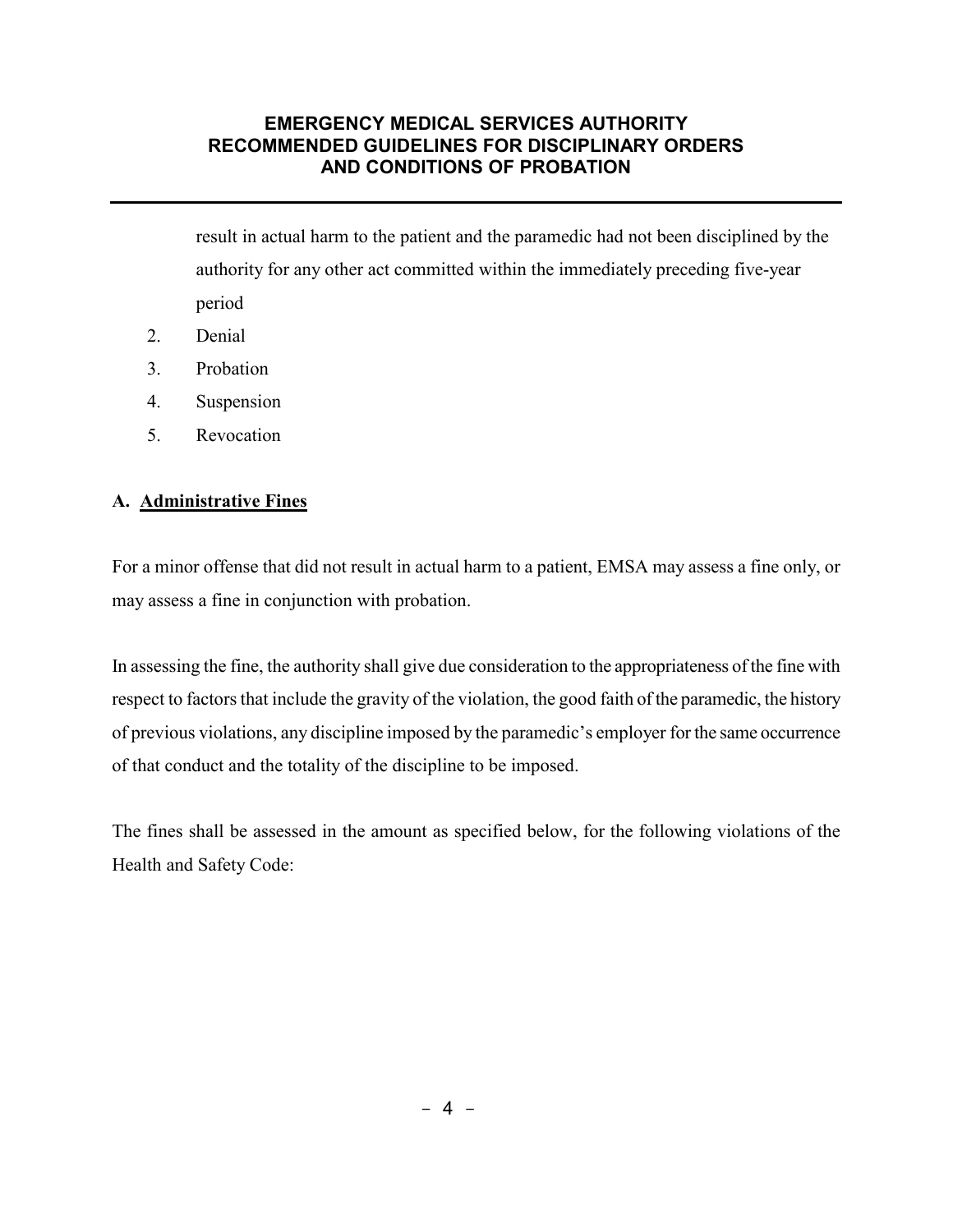result in actual harm to the patient and the paramedic had not been disciplined by the authority for any other act committed within the immediately preceding five-year period

- 2. Denial
- 3. Probation
- 4. Suspension
- 5. Revocation

#### **A. Administrative Fines**

For a minor offense that did not result in actual harm to a patient, EMSA may assess a fine only, or may assess a fine in conjunction with probation.

In assessing the fine, the authority shall give due consideration to the appropriateness of the fine with respect to factors that include the gravity of the violation, the good faith of the paramedic, the history of previous violations, any discipline imposed by the paramedic's employer for the same occurrence of that conduct and the totality of the discipline to be imposed.

The fines shall be assessed in the amount as specified below, for the following violations of the Health and Safety Code: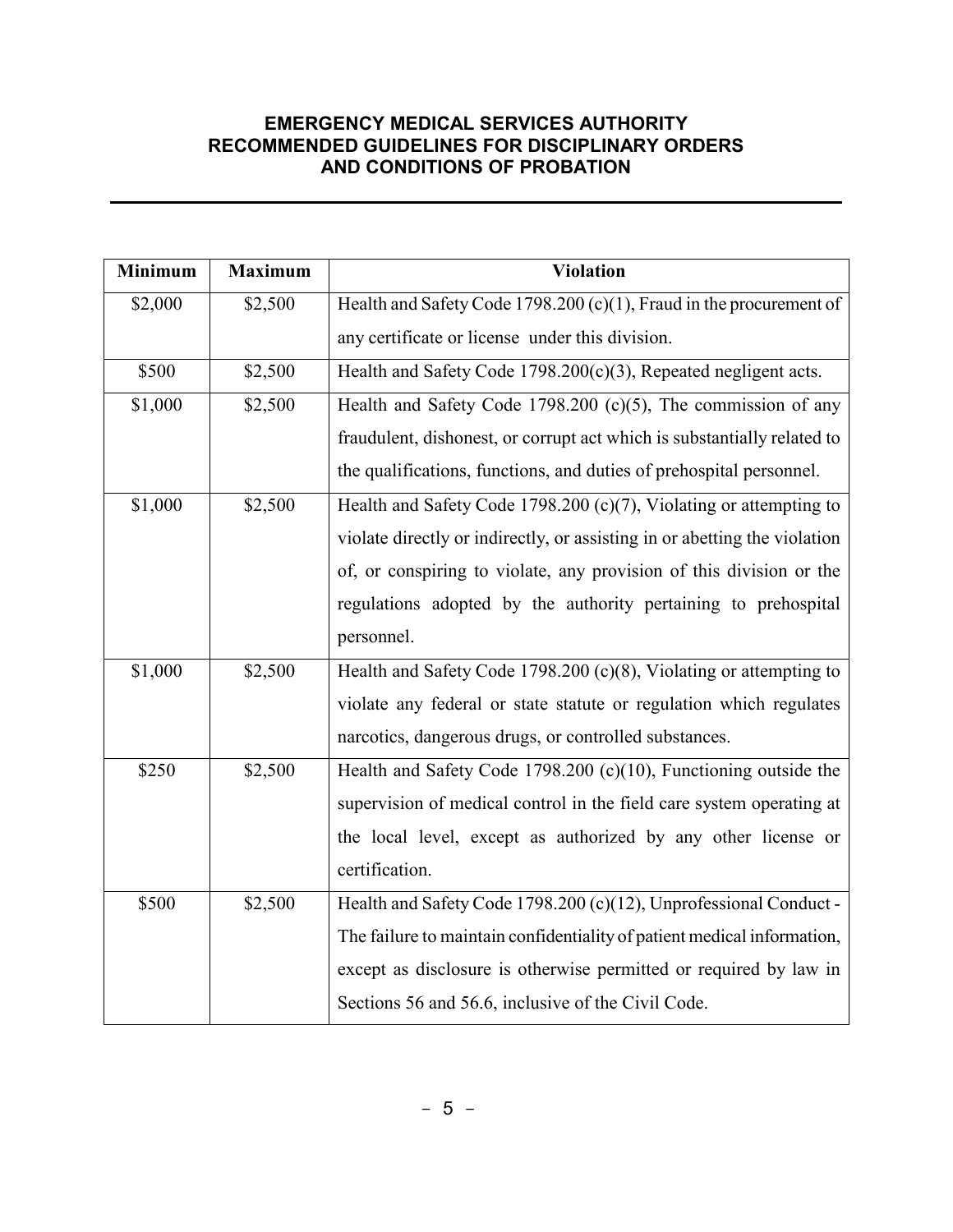| <b>Minimum</b> | <b>Maximum</b> | <b>Violation</b>                                                          |  |
|----------------|----------------|---------------------------------------------------------------------------|--|
| \$2,000        | \$2,500        | Health and Safety Code 1798.200 (c)(1), Fraud in the procurement of       |  |
|                |                | any certificate or license under this division.                           |  |
| \$500          | \$2,500        | Health and Safety Code $1798.200(c)(3)$ , Repeated negligent acts.        |  |
| \$1,000        | \$2,500        | Health and Safety Code 1798.200 $(c)(5)$ , The commission of any          |  |
|                |                | fraudulent, dishonest, or corrupt act which is substantially related to   |  |
|                |                | the qualifications, functions, and duties of prehospital personnel.       |  |
| \$1,000        | \$2,500        | Health and Safety Code 1798.200 (c)(7), Violating or attempting to        |  |
|                |                | violate directly or indirectly, or assisting in or abetting the violation |  |
|                |                | of, or conspiring to violate, any provision of this division or the       |  |
|                |                | regulations adopted by the authority pertaining to prehospital            |  |
|                |                | personnel.                                                                |  |
| \$1,000        | \$2,500        | Health and Safety Code 1798.200 (c)(8), Violating or attempting to        |  |
|                |                | violate any federal or state statute or regulation which regulates        |  |
|                |                | narcotics, dangerous drugs, or controlled substances.                     |  |
| \$250          | \$2,500        | Health and Safety Code 1798.200 (c)(10), Functioning outside the          |  |
|                |                | supervision of medical control in the field care system operating at      |  |
|                |                | the local level, except as authorized by any other license or             |  |
|                |                | certification.                                                            |  |
| \$500          | \$2,500        | Health and Safety Code 1798.200 (c)(12), Unprofessional Conduct -         |  |
|                |                | The failure to maintain confidentiality of patient medical information,   |  |
|                |                | except as disclosure is otherwise permitted or required by law in         |  |
|                |                | Sections 56 and 56.6, inclusive of the Civil Code.                        |  |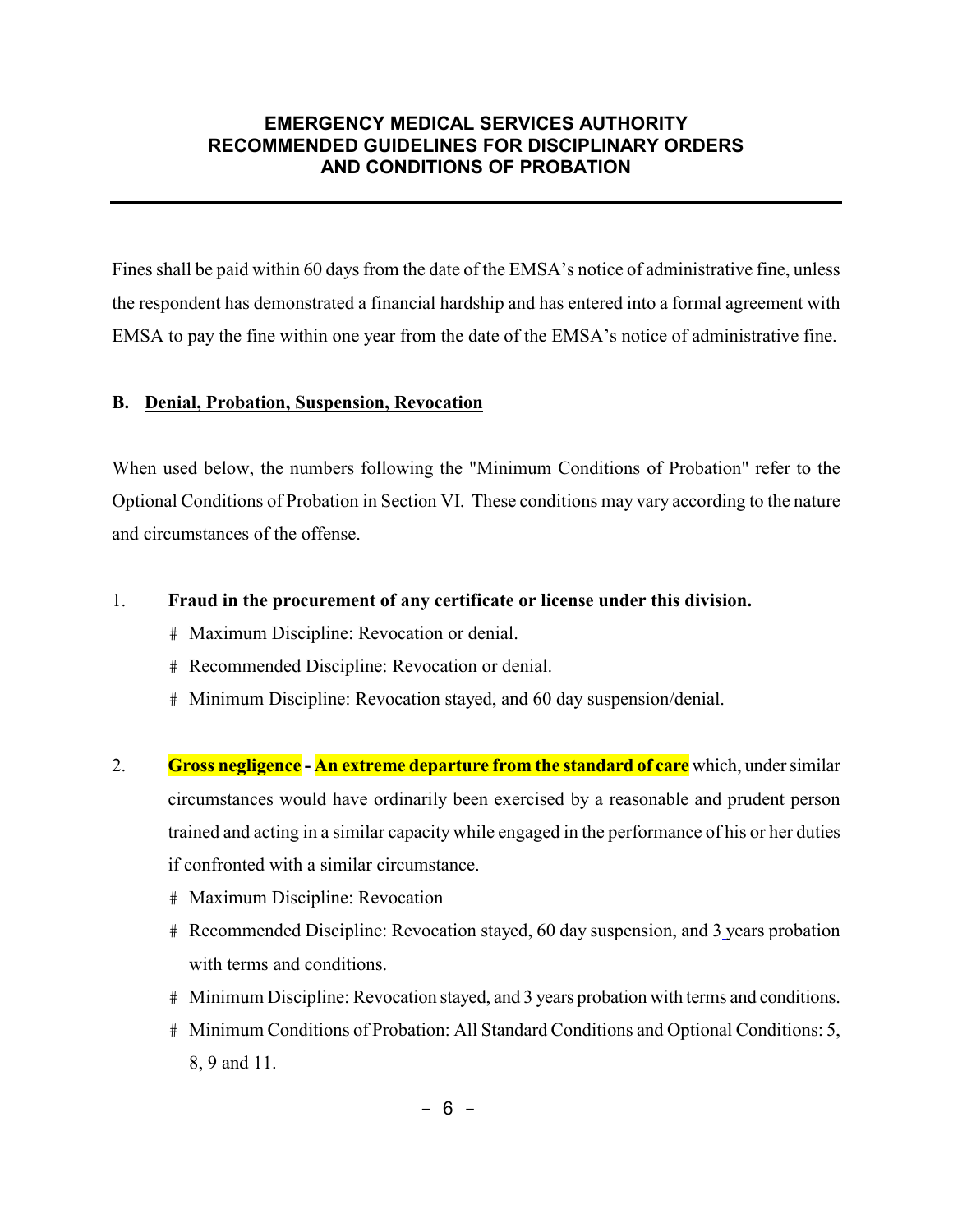Fines shall be paid within 60 days from the date of the EMSA's notice of administrative fine, unless the respondent has demonstrated a financial hardship and has entered into a formal agreement with EMSA to pay the fine within one year from the date of the EMSA's notice of administrative fine.

#### **B. Denial, Probation, Suspension, Revocation**

When used below, the numbers following the "Minimum Conditions of Probation" refer to the Optional Conditions of Probation in Section VI. These conditions may vary according to the nature and circumstances of the offense.

#### 1. **Fraud in the procurement of any certificate or license under this division.**

- # Maximum Discipline: Revocation or denial.
- # Recommended Discipline: Revocation or denial.
- # Minimum Discipline: Revocation stayed, and 60 day suspension/denial.
- 2. **Gross negligence - An extreme departure from the standard of care** which, under similar circumstances would have ordinarily been exercised by a reasonable and prudent person trained and acting in a similar capacity while engaged in the performance of his or her duties if confronted with a similar circumstance.
	- # Maximum Discipline: Revocation
	- # Recommended Discipline: Revocation stayed, 60 day suspension, and 3 years probation with terms and conditions.
	- # Minimum Discipline: Revocation stayed, and 3 years probation with terms and conditions.
	- # Minimum Conditions of Probation: All Standard Conditions and Optional Conditions: 5, 8, 9 and 11.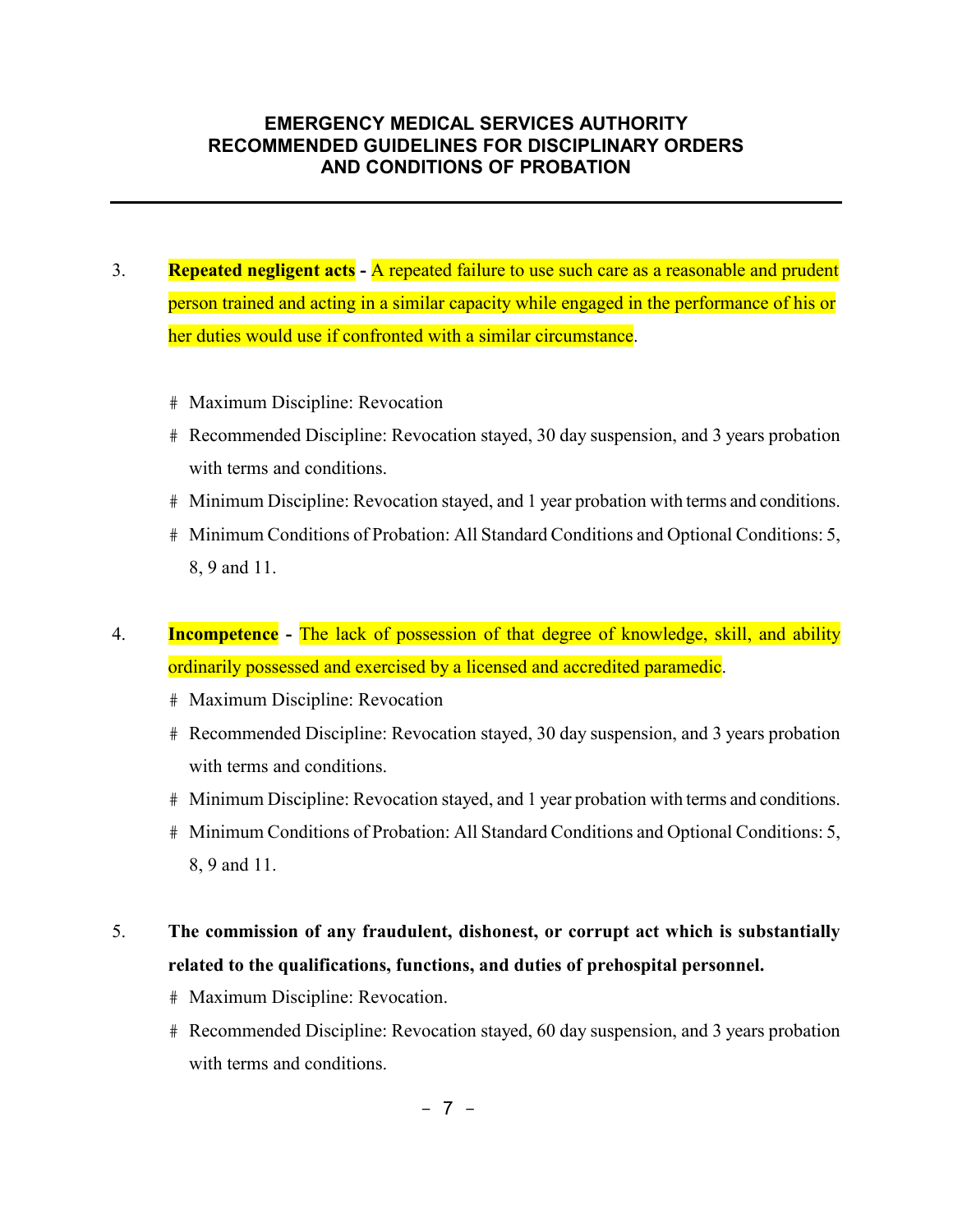- 3. **Repeated negligent acts -** A repeated failure to use such care as a reasonable and prudent person trained and acting in a similar capacity while engaged in the performance of his or her duties would use if confronted with a similar circumstance.
	- # Maximum Discipline: Revocation
	- # Recommended Discipline: Revocation stayed, 30 day suspension, and 3 years probation with terms and conditions.
	- # Minimum Discipline: Revocation stayed, and 1 year probation with terms and conditions.
	- # Minimum Conditions of Probation: All Standard Conditions and Optional Conditions: 5, 8, 9 and 11.
- 4. **Incompetence -** The lack of possession of that degree of knowledge, skill, and ability ordinarily possessed and exercised by a licensed and accredited paramedic.
	- # Maximum Discipline: Revocation
	- # Recommended Discipline: Revocation stayed, 30 day suspension, and 3 years probation with terms and conditions.
	- # Minimum Discipline: Revocation stayed, and 1 year probation with terms and conditions.
	- # Minimum Conditions of Probation: All Standard Conditions and Optional Conditions: 5, 8, 9 and 11.

# 5. **The commission of any fraudulent, dishonest, or corrupt act which is substantially related to the qualifications, functions, and duties of prehospital personnel.**

- # Maximum Discipline: Revocation.
- # Recommended Discipline: Revocation stayed, 60 day suspension, and 3 years probation with terms and conditions.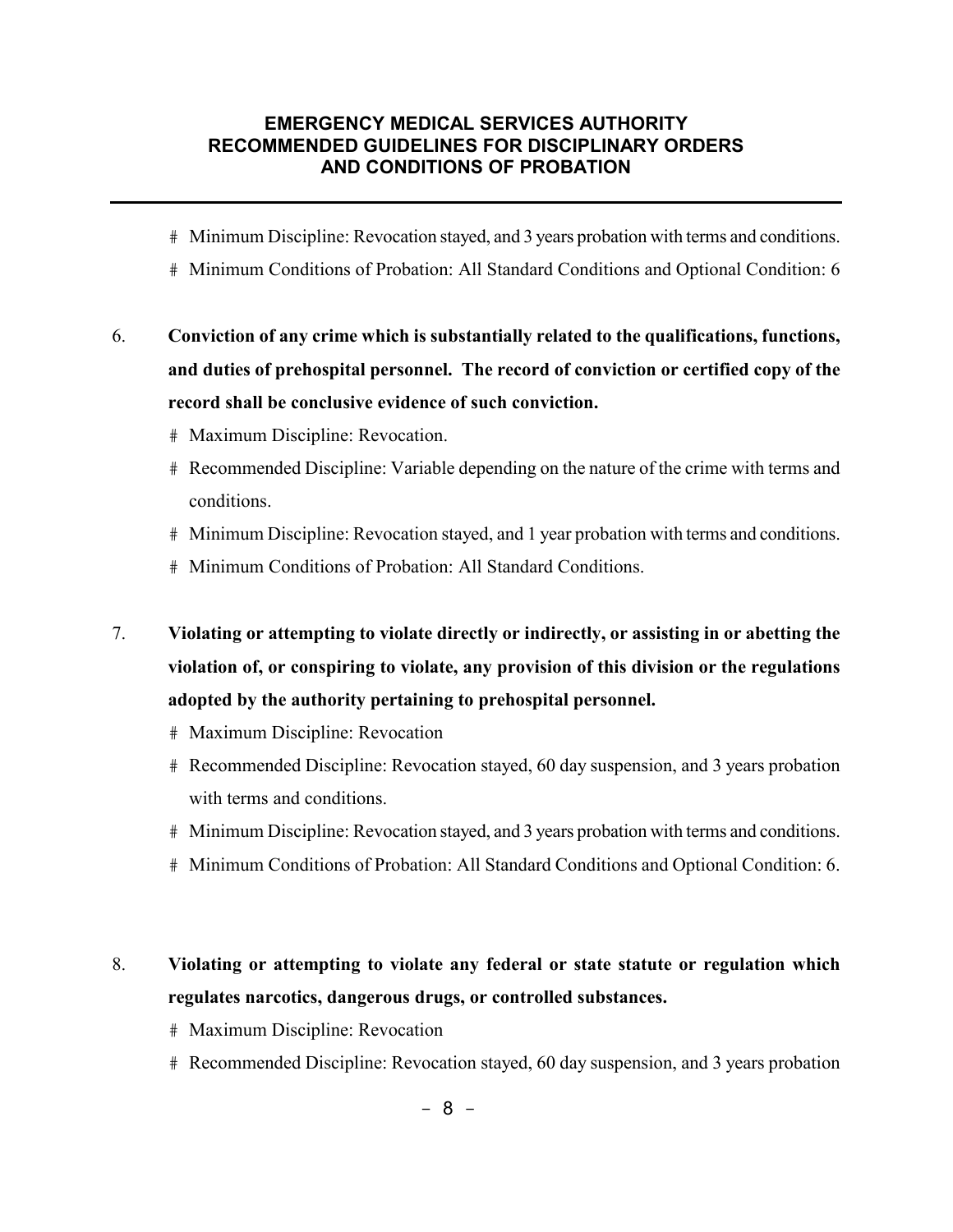- # Minimum Discipline: Revocation stayed, and 3 years probation with terms and conditions.
- # Minimum Conditions of Probation: All Standard Conditions and Optional Condition: 6
- 6. **Conviction of any crime which is substantially related to the qualifications, functions, and duties of prehospital personnel. The record of conviction or certified copy of the record shall be conclusive evidence of such conviction.**
	- # Maximum Discipline: Revocation.
	- # Recommended Discipline: Variable depending on the nature of the crime with terms and conditions.
	- # Minimum Discipline: Revocation stayed, and 1 year probation with terms and conditions.
	- # Minimum Conditions of Probation: All Standard Conditions.
- 7. **Violating or attempting to violate directly or indirectly, or assisting in or abetting the violation of, or conspiring to violate, any provision of this division or the regulations adopted by the authority pertaining to prehospital personnel.**
	- # Maximum Discipline: Revocation
	- # Recommended Discipline: Revocation stayed, 60 day suspension, and 3 years probation with terms and conditions.
	- # Minimum Discipline: Revocation stayed, and 3 years probation with terms and conditions.
	- # Minimum Conditions of Probation: All Standard Conditions and Optional Condition: 6.

# 8. **Violating or attempting to violate any federal or state statute or regulation which regulates narcotics, dangerous drugs, or controlled substances.**

- # Maximum Discipline: Revocation
- # Recommended Discipline: Revocation stayed, 60 day suspension, and 3 years probation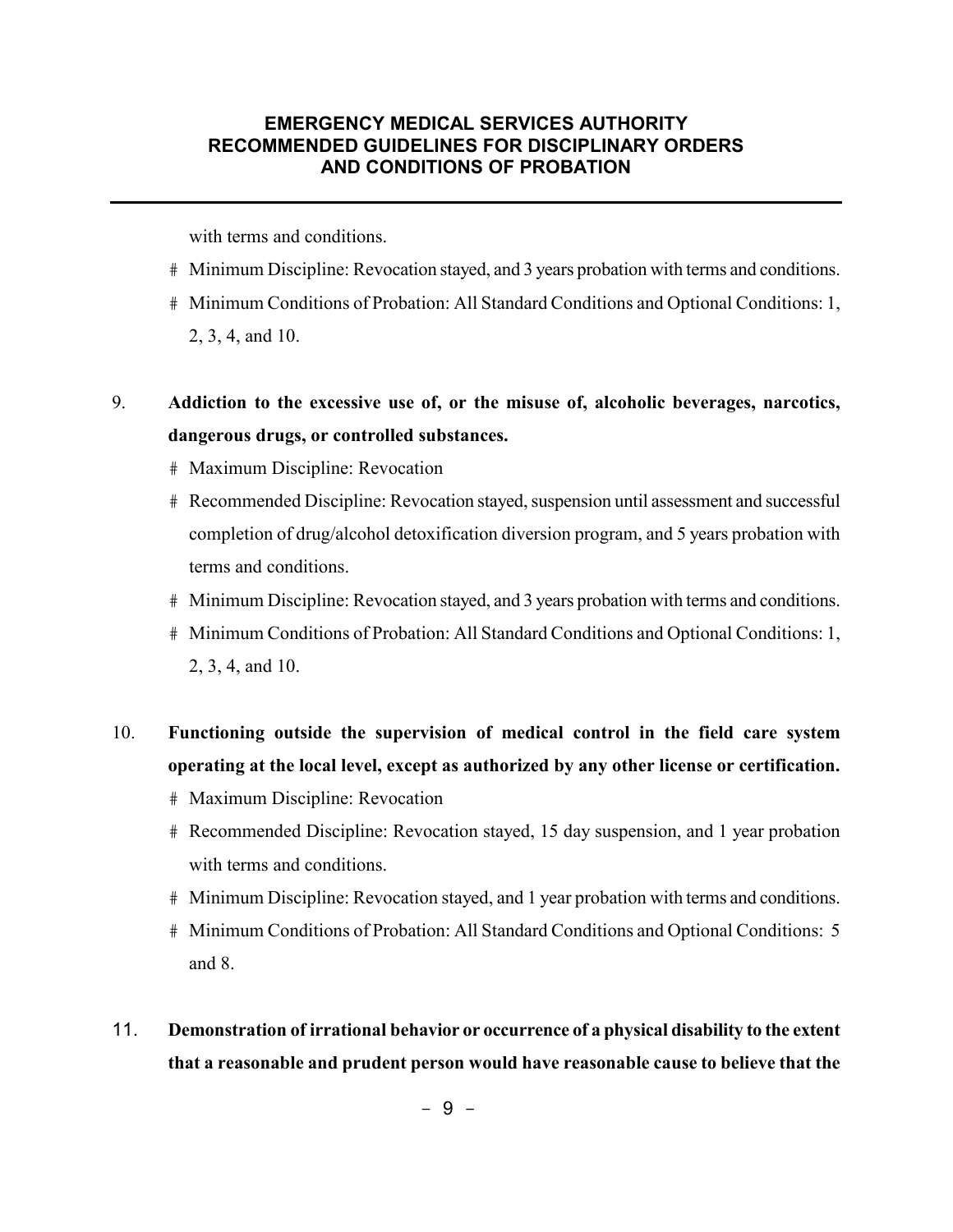with terms and conditions.

- # Minimum Discipline: Revocation stayed, and 3 years probation with terms and conditions.
- # Minimum Conditions of Probation: All Standard Conditions and Optional Conditions: 1, 2, 3, 4, and 10.

# 9. **Addiction to the excessive use of, or the misuse of, alcoholic beverages, narcotics, dangerous drugs, or controlled substances.**

- # Maximum Discipline: Revocation
- # Recommended Discipline: Revocation stayed, suspension until assessment and successful completion of drug/alcohol detoxification diversion program, and 5 years probation with terms and conditions.
- # Minimum Discipline: Revocation stayed, and 3 years probation with terms and conditions.
- # Minimum Conditions of Probation: All Standard Conditions and Optional Conditions: 1, 2, 3, 4, and 10.
- 10. **Functioning outside the supervision of medical control in the field care system operating at the local level, except as authorized by any other license or certification.**
	- # Maximum Discipline: Revocation
	- # Recommended Discipline: Revocation stayed, 15 day suspension, and 1 year probation with terms and conditions.
	- # Minimum Discipline: Revocation stayed, and 1 year probation with terms and conditions.
	- # Minimum Conditions of Probation: All Standard Conditions and Optional Conditions: 5 and 8.
- 11. **Demonstration of irrational behavior or occurrence of a physical disability to the extent that a reasonable and prudent person would have reasonable cause to believe that the**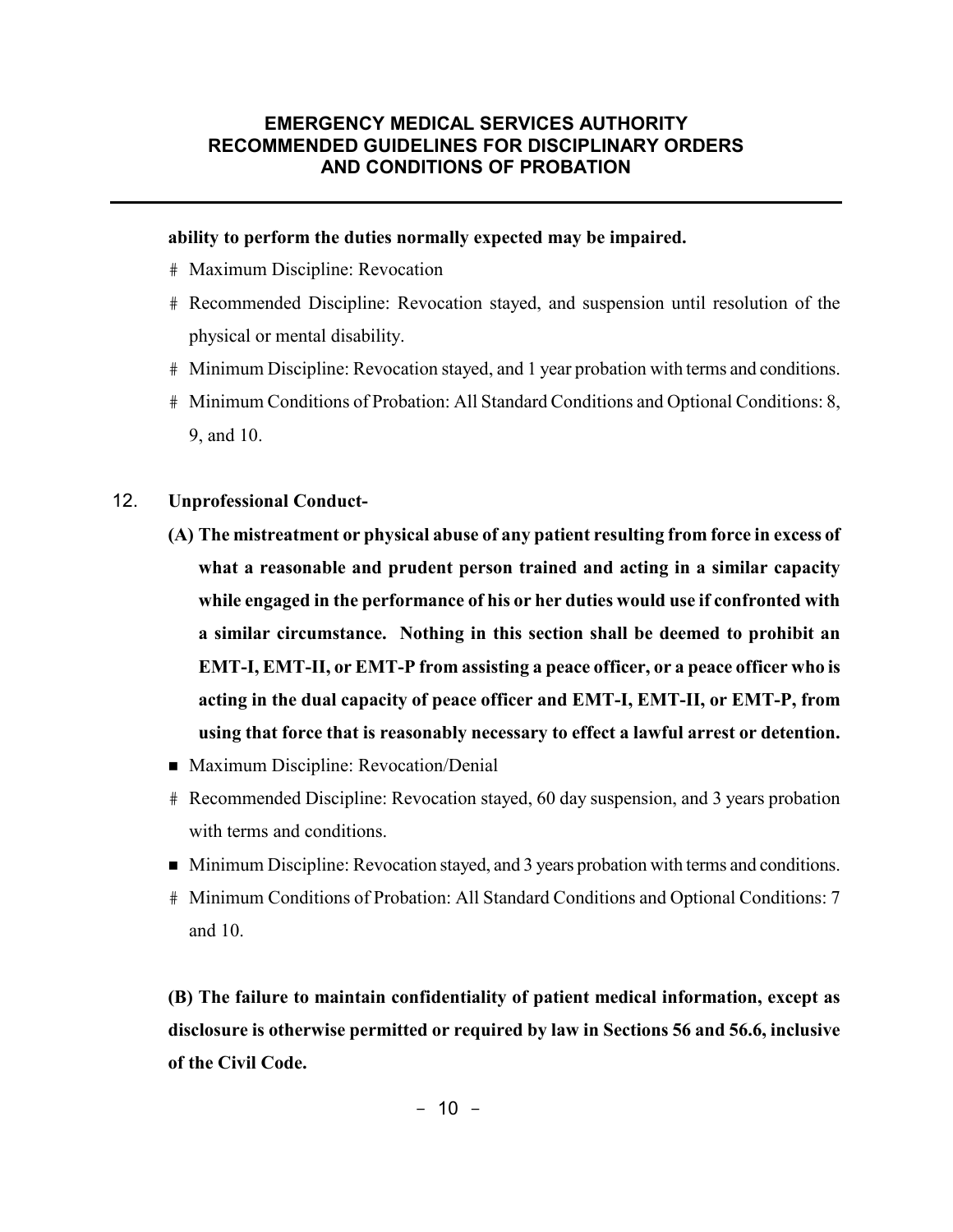#### **ability to perform the duties normally expected may be impaired.**

- # Maximum Discipline: Revocation
- # Recommended Discipline: Revocation stayed, and suspension until resolution of the physical or mental disability.
- # Minimum Discipline: Revocation stayed, and 1 year probation with terms and conditions.
- # Minimum Conditions of Probation: All Standard Conditions and Optional Conditions: 8, 9, and 10.
- 12. **Unprofessional Conduct-** 
	- **(A) The mistreatment or physical abuse of any patient resulting from force in excess of what a reasonable and prudent person trained and acting in a similar capacity while engaged in the performance of his or her duties would use if confronted with a similar circumstance. Nothing in this section shall be deemed to prohibit an EMT-I, EMT-II, or EMT-P from assisting a peace officer, or a peace officer who is acting in the dual capacity of peace officer and EMT-I, EMT-II, or EMT-P, from using that force that is reasonably necessary to effect a lawful arrest or detention.**
	- **Maximum Discipline: Revocation/Denial**
	- # Recommended Discipline: Revocation stayed, 60 day suspension, and 3 years probation with terms and conditions.
	- Minimum Discipline: Revocation stayed, and 3 years probation with terms and conditions.
	- # Minimum Conditions of Probation: All Standard Conditions and Optional Conditions: 7 and 10.

**(B) The failure to maintain confidentiality of patient medical information, except as disclosure is otherwise permitted or required by law in Sections 56 and 56.6, inclusive of the Civil Code.**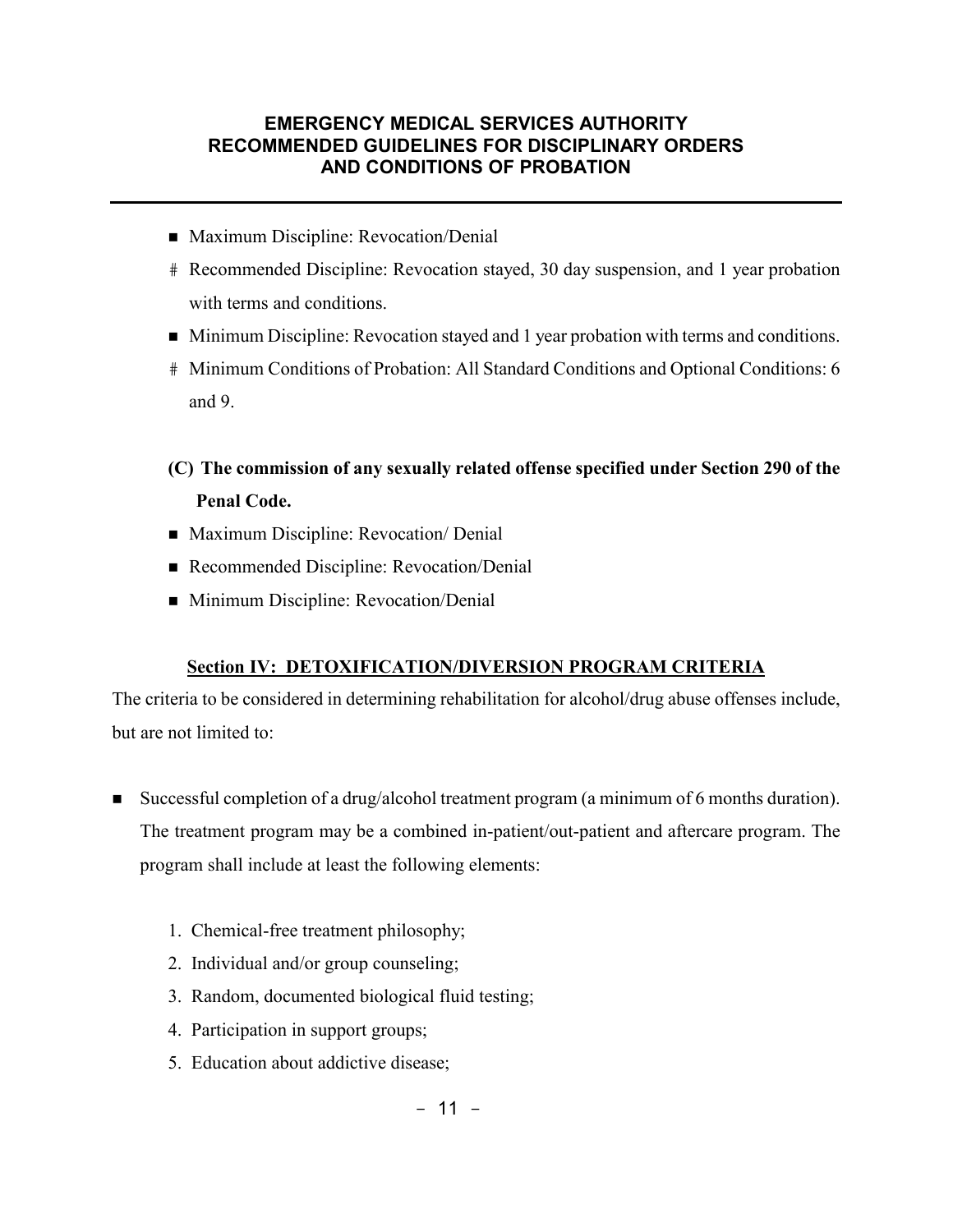- Maximum Discipline: Revocation/Denial
- # Recommended Discipline: Revocation stayed, 30 day suspension, and 1 year probation with terms and conditions.
- Minimum Discipline: Revocation stayed and 1 year probation with terms and conditions.
- # Minimum Conditions of Probation: All Standard Conditions and Optional Conditions: 6 and 9.
- **(C) The commission of any sexually related offense specified under Section 290 of the Penal Code.**
- Maximum Discipline: Revocation/ Denial
- Recommended Discipline: Revocation/Denial
- Minimum Discipline: Revocation/Denial

#### **Section IV: DETOXIFICATION/DIVERSION PROGRAM CRITERIA**

The criteria to be considered in determining rehabilitation for alcohol/drug abuse offenses include, but are not limited to:

- Successful completion of a drug/alcohol treatment program (a minimum of 6 months duration). The treatment program may be a combined in-patient/out-patient and aftercare program. The program shall include at least the following elements:
	- 1. Chemical-free treatment philosophy;
	- 2. Individual and/or group counseling;
	- 3. Random, documented biological fluid testing;
	- 4. Participation in support groups;
	- 5. Education about addictive disease;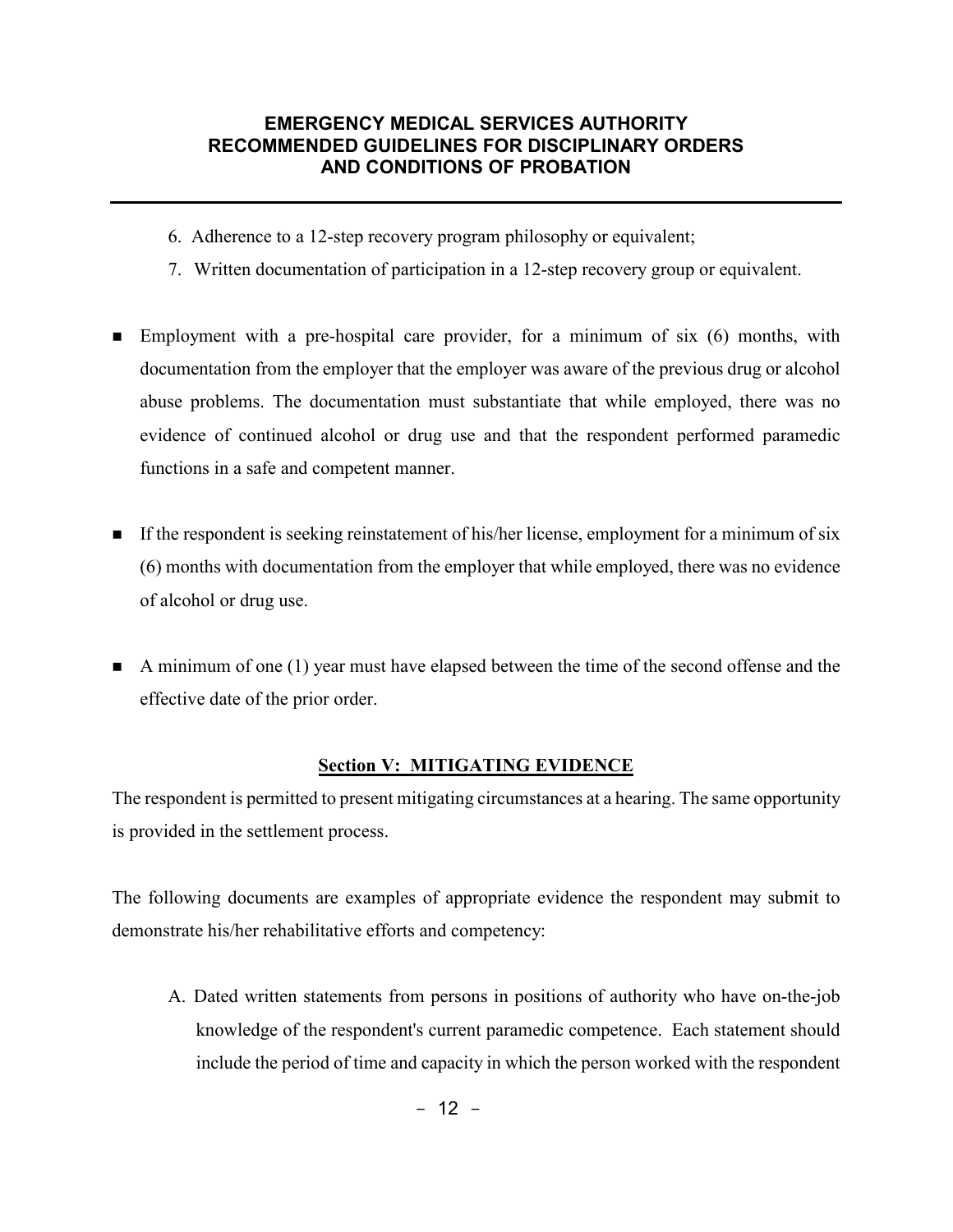- 6. Adherence to a 12-step recovery program philosophy or equivalent;
- 7. Written documentation of participation in a 12-step recovery group or equivalent.
- Employment with a pre-hospital care provider, for a minimum of six (6) months, with documentation from the employer that the employer was aware of the previous drug or alcohol abuse problems. The documentation must substantiate that while employed, there was no evidence of continued alcohol or drug use and that the respondent performed paramedic functions in a safe and competent manner.
- If the respondent is seeking reinstatement of his/her license, employment for a minimum of six (6) months with documentation from the employer that while employed, there was no evidence of alcohol or drug use.
- A minimum of one  $(1)$  year must have elapsed between the time of the second offense and the effective date of the prior order.

#### **Section V: MITIGATING EVIDENCE**

The respondent is permitted to present mitigating circumstances at a hearing. The same opportunity is provided in the settlement process.

The following documents are examples of appropriate evidence the respondent may submit to demonstrate his/her rehabilitative efforts and competency:

A. Dated written statements from persons in positions of authority who have on-the-job knowledge of the respondent's current paramedic competence. Each statement should include the period of time and capacity in which the person worked with the respondent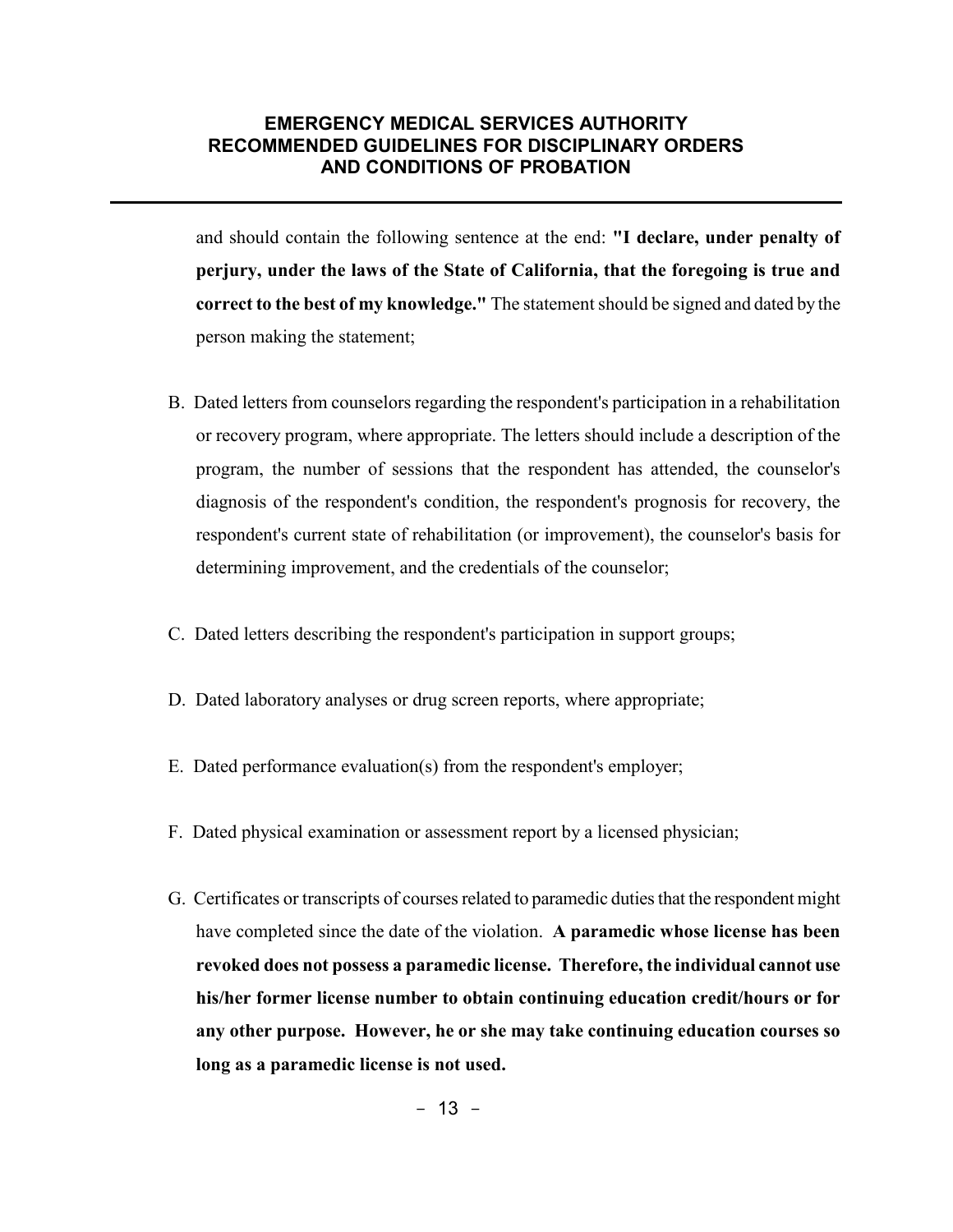and should contain the following sentence at the end: **"I declare, under penalty of perjury, under the laws of the State of California, that the foregoing is true and correct to the best of my knowledge."** The statement should be signed and dated by the person making the statement;

- B. Dated letters from counselors regarding the respondent's participation in a rehabilitation or recovery program, where appropriate. The letters should include a description of the program, the number of sessions that the respondent has attended, the counselor's diagnosis of the respondent's condition, the respondent's prognosis for recovery, the respondent's current state of rehabilitation (or improvement), the counselor's basis for determining improvement, and the credentials of the counselor;
- C. Dated letters describing the respondent's participation in support groups;
- D. Dated laboratory analyses or drug screen reports, where appropriate;
- E. Dated performance evaluation(s) from the respondent's employer;
- F. Dated physical examination or assessment report by a licensed physician;
- G. Certificates or transcripts of courses related to paramedic duties that the respondent might have completed since the date of the violation. **A paramedic whose license has been revoked does not possess a paramedic license. Therefore, the individual cannot use his/her former license number to obtain continuing education credit/hours or for any other purpose. However, he or she may take continuing education courses so long as a paramedic license is not used.**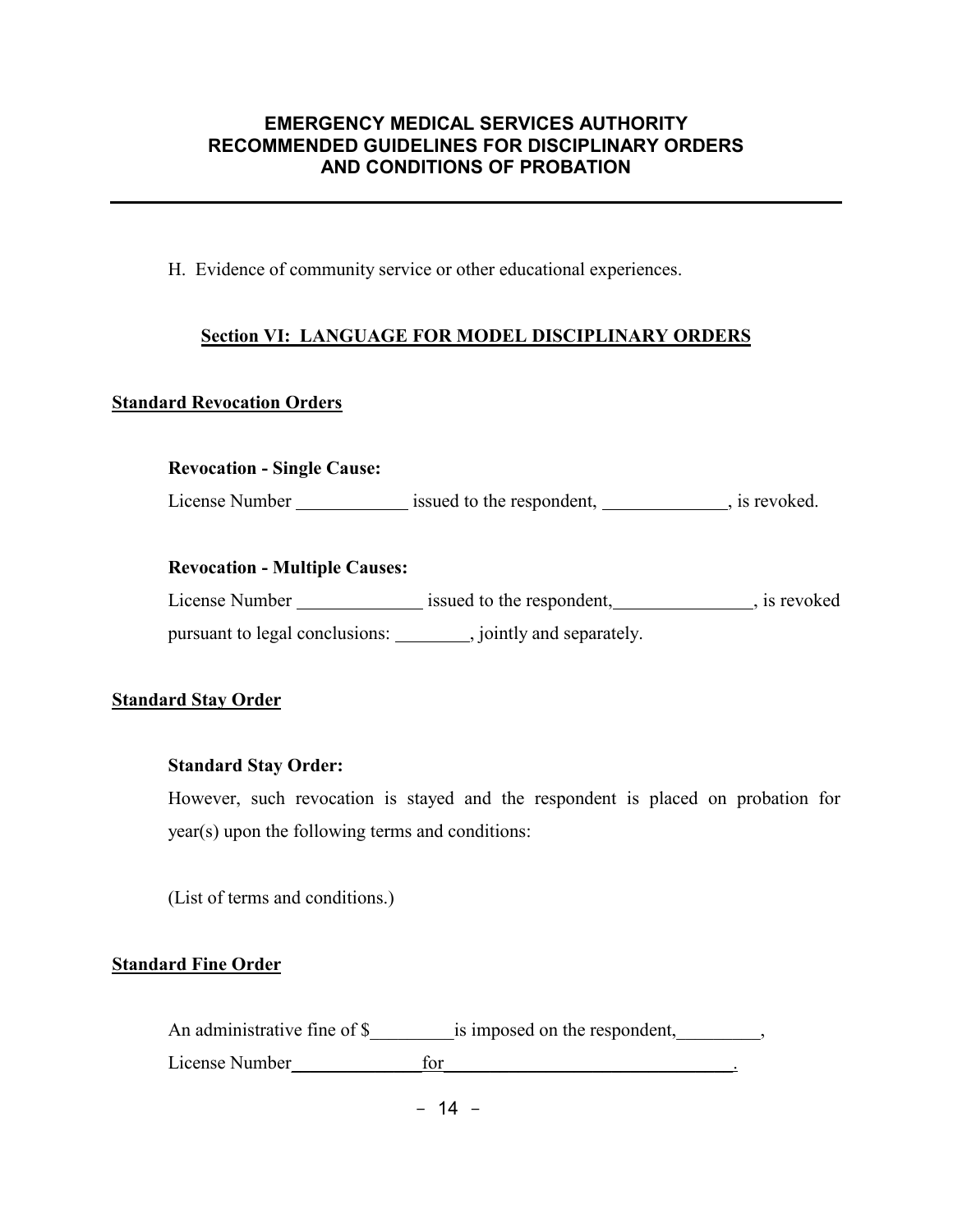H. Evidence of community service or other educational experiences.

#### **Section VI: LANGUAGE FOR MODEL DISCIPLINARY ORDERS**

#### **Standard Revocation Orders**

#### **Revocation - Single Cause:**

License Number issued to the respondent, is revoked.

#### **Revocation - Multiple Causes:**

| License Number                 | issued to the respondent, | , is revoked |
|--------------------------------|---------------------------|--------------|
| pursuant to legal conclusions: | jointly and separately.   |              |

#### **Standard Stay Order**

#### **Standard Stay Order:**

However, such revocation is stayed and the respondent is placed on probation for year(s) upon the following terms and conditions:

(List of terms and conditions.)

#### **Standard Fine Order**

An administrative fine of \$\_\_\_\_\_\_\_\_\_is imposed on the respondent,\_\_\_\_\_\_\_\_\_, License Number <u>for the contract of the contract of the contract of the contract of the contract of the contract of the contract of the contract of the contract of the contract of the contract of the contract of the contra</u>

 $- 14 -$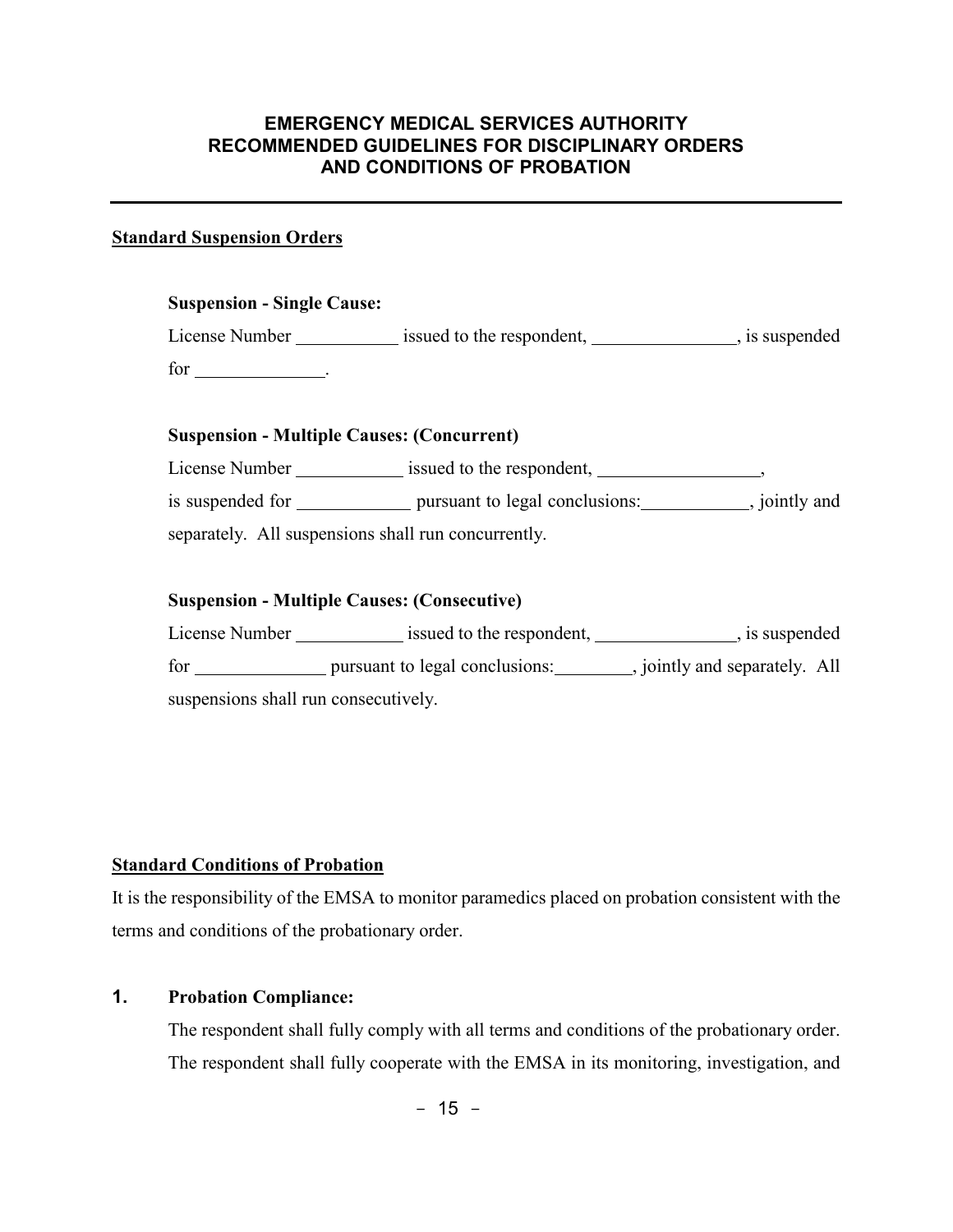#### **Standard Suspension Orders**

| <b>Suspension - Single Cause:</b>                 |                           |                |
|---------------------------------------------------|---------------------------|----------------|
| License Number                                    | issued to the respondent, | , is suspended |
| for _________________.                            |                           |                |
|                                                   |                           |                |
|                                                   |                           |                |
| <b>Suspension - Multiple Causes: (Concurrent)</b> |                           |                |
| License Number                                    | issued to the respondent, |                |

separately. All suspensions shall run concurrently.

#### **Suspension - Multiple Causes: (Consecutive)**

| License Number                       | issued to the respondent,      | , is suspended              |
|--------------------------------------|--------------------------------|-----------------------------|
| for                                  | pursuant to legal conclusions: | jointly and separately. All |
| suspensions shall run consecutively. |                                |                             |

#### **Standard Conditions of Probation**

It is the responsibility of the EMSA to monitor paramedics placed on probation consistent with the terms and conditions of the probationary order.

# **1. Probation Compliance:**

The respondent shall fully comply with all terms and conditions of the probationary order. The respondent shall fully cooperate with the EMSA in its monitoring, investigation, and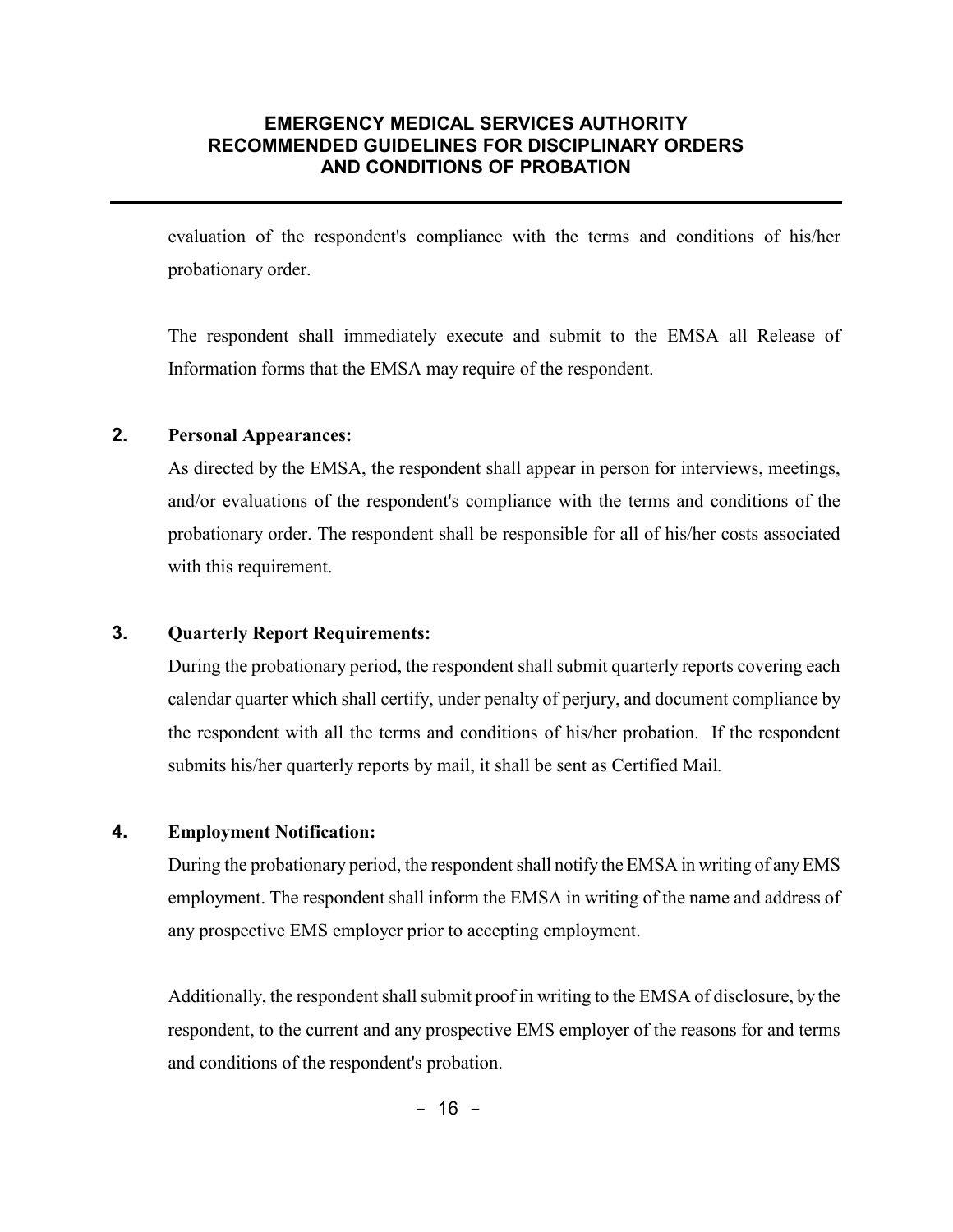evaluation of the respondent's compliance with the terms and conditions of his/her probationary order.

The respondent shall immediately execute and submit to the EMSA all Release of Information forms that the EMSA may require of the respondent.

#### **2. Personal Appearances:**

As directed by the EMSA, the respondent shall appear in person for interviews, meetings, and/or evaluations of the respondent's compliance with the terms and conditions of the probationary order. The respondent shall be responsible for all of his/her costs associated with this requirement.

#### **3. Quarterly Report Requirements:**

During the probationary period, the respondent shall submit quarterly reports covering each calendar quarter which shall certify, under penalty of perjury, and document compliance by the respondent with all the terms and conditions of his/her probation. If the respondent submits his/her quarterly reports by mail, it shall be sent as Certified Mail*.*

#### **4. Employment Notification:**

During the probationary period, the respondent shall notify the EMSA in writing of any EMS employment. The respondent shall inform the EMSA in writing of the name and address of any prospective EMS employer prior to accepting employment.

Additionally, the respondent shall submit proof in writing to the EMSA of disclosure, by the respondent, to the current and any prospective EMS employer of the reasons for and terms and conditions of the respondent's probation.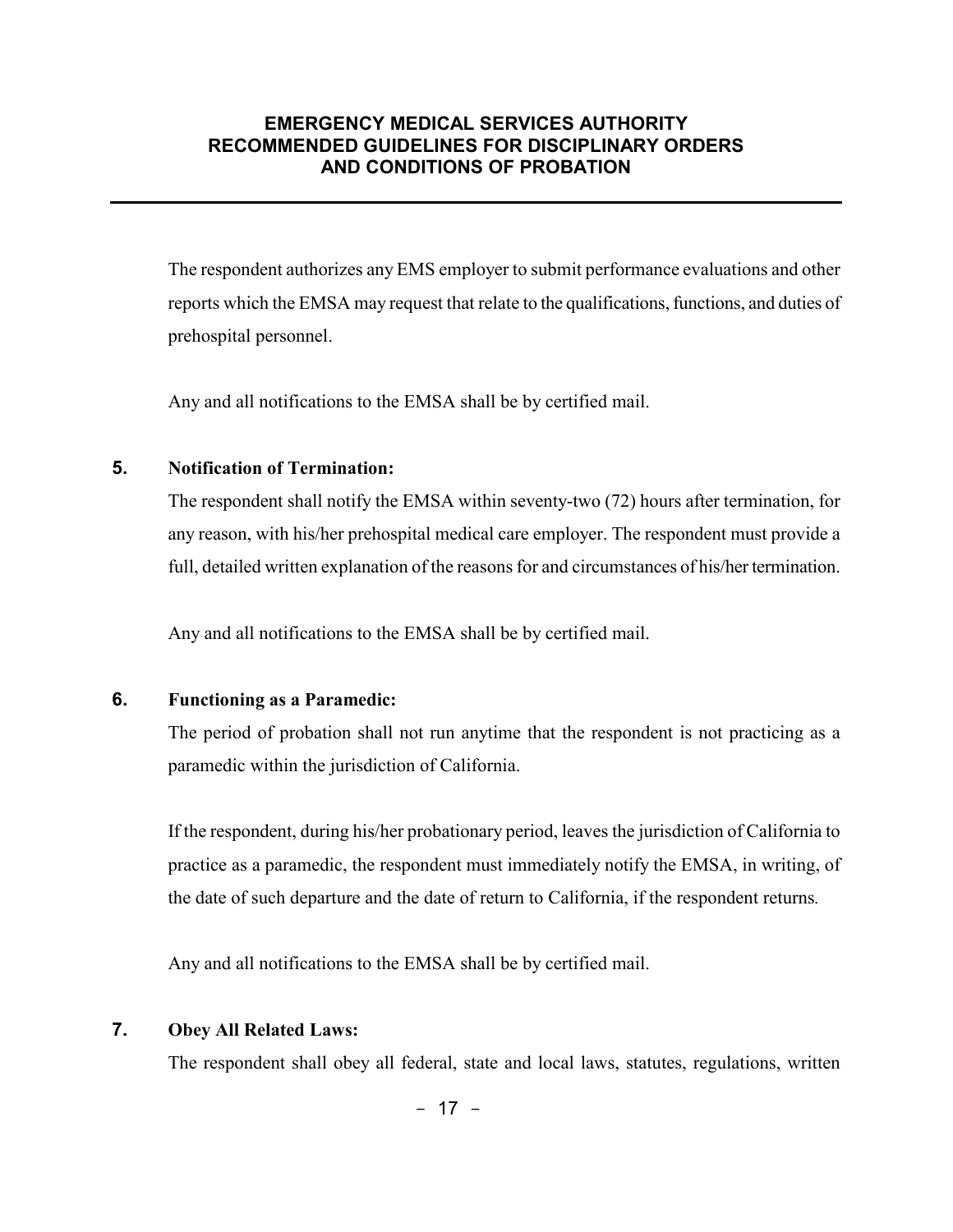The respondent authorizes any EMS employer to submit performance evaluations and other reports which the EMSA may request that relate to the qualifications, functions, and duties of prehospital personnel.

Any and all notifications to the EMSA shall be by certified mail.

#### **5. Notification of Termination:**

The respondent shall notify the EMSA within seventy-two (72) hours after termination, for any reason, with his/her prehospital medical care employer. The respondent must provide a full, detailed written explanation of the reasons for and circumstances of his/her termination.

Any and all notifications to the EMSA shall be by certified mail.

#### **6. Functioning as a Paramedic:**

The period of probation shall not run anytime that the respondent is not practicing as a paramedic within the jurisdiction of California.

If the respondent, during his/her probationary period, leaves the jurisdiction of California to practice as a paramedic, the respondent must immediately notify the EMSA, in writing, of the date of such departure and the date of return to California, if the respondent returns*.*

Any and all notifications to the EMSA shall be by certified mail.

#### **7. Obey All Related Laws:**

The respondent shall obey all federal, state and local laws, statutes, regulations, written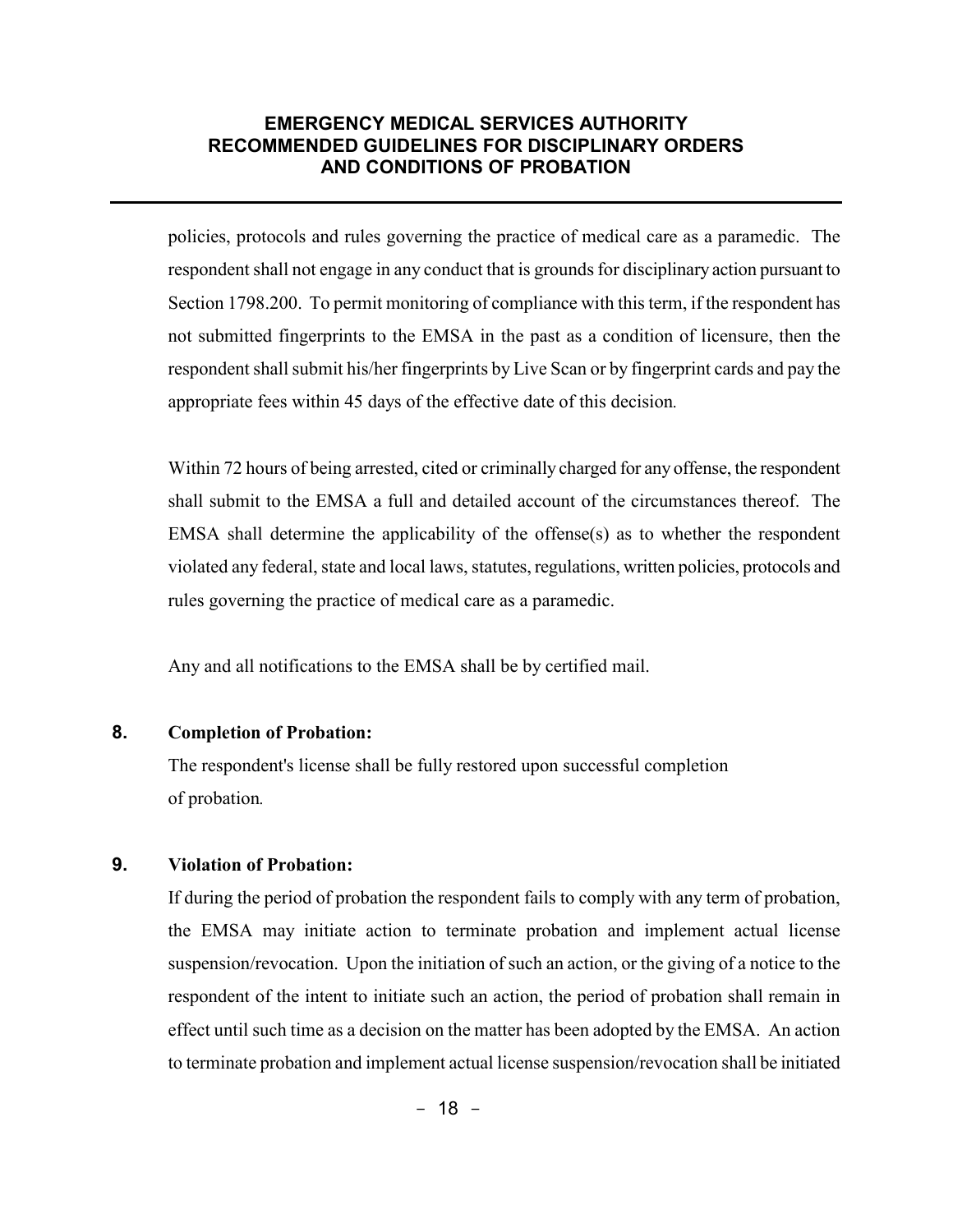policies, protocols and rules governing the practice of medical care as a paramedic. The respondent shall not engage in any conduct that is grounds for disciplinary action pursuant to Section 1798.200. To permit monitoring of compliance with this term, if the respondent has not submitted fingerprints to the EMSA in the past as a condition of licensure, then the respondent shall submit his/her fingerprints by Live Scan or by fingerprint cards and pay the appropriate fees within 45 days of the effective date of this decision*.* 

Within 72 hours of being arrested, cited or criminally charged for any offense, the respondent shall submit to the EMSA a full and detailed account of the circumstances thereof. The EMSA shall determine the applicability of the offense(s) as to whether the respondent violated any federal, state and local laws, statutes, regulations, written policies, protocols and rules governing the practice of medical care as a paramedic.

Any and all notifications to the EMSA shall be by certified mail.

#### **8. Completion of Probation:**

The respondent's license shall be fully restored upon successful completion of probation*.*

# **9. Violation of Probation:**

If during the period of probation the respondent fails to comply with any term of probation, the EMSA may initiate action to terminate probation and implement actual license suspension/revocation. Upon the initiation of such an action, or the giving of a notice to the respondent of the intent to initiate such an action, the period of probation shall remain in effect until such time as a decision on the matter has been adopted by the EMSA. An action to terminate probation and implement actual license suspension/revocation shall be initiated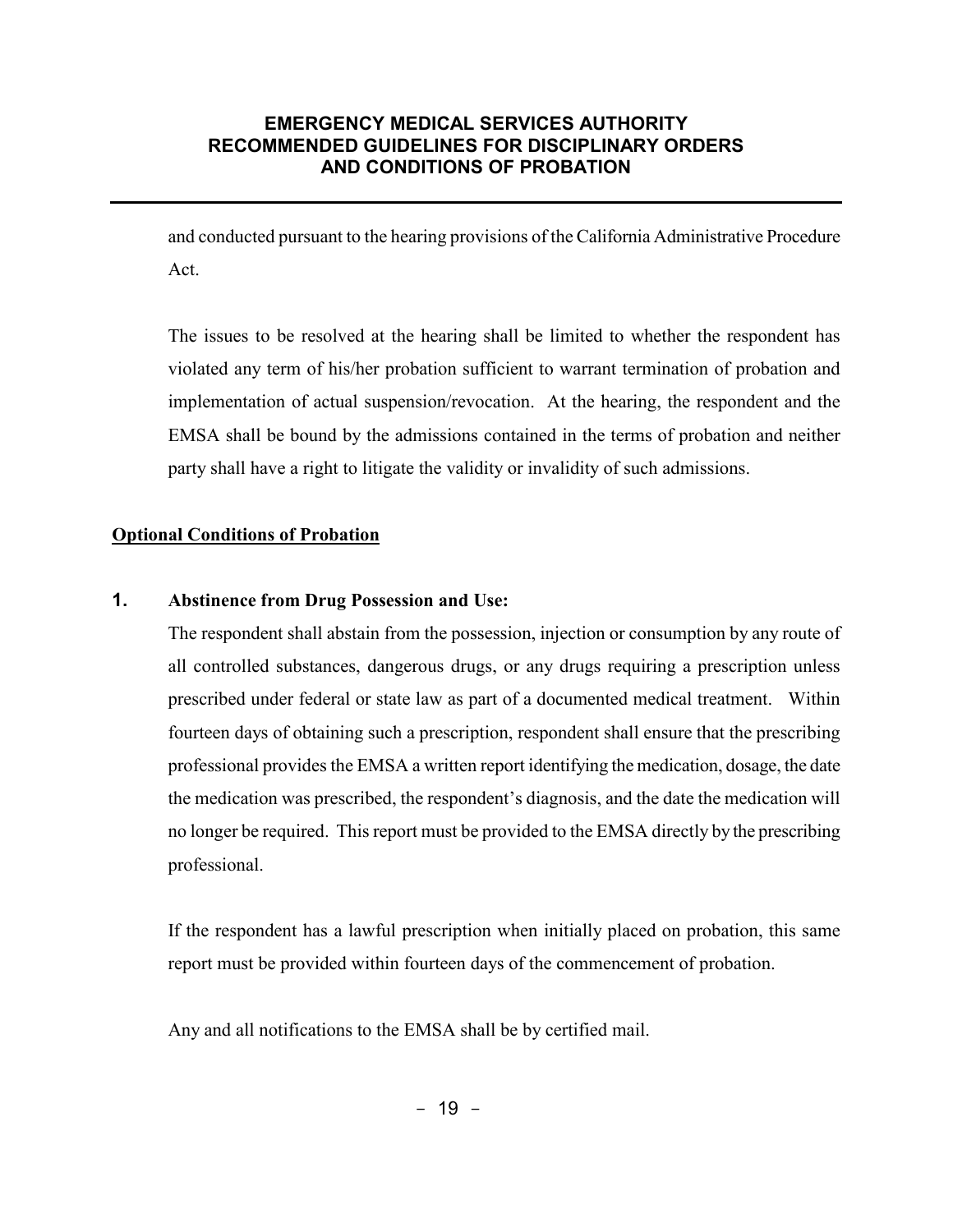and conducted pursuant to the hearing provisions of the California Administrative Procedure Act.

The issues to be resolved at the hearing shall be limited to whether the respondent has violated any term of his/her probation sufficient to warrant termination of probation and implementation of actual suspension/revocation. At the hearing, the respondent and the EMSA shall be bound by the admissions contained in the terms of probation and neither party shall have a right to litigate the validity or invalidity of such admissions.

#### **Optional Conditions of Probation**

#### **1. Abstinence from Drug Possession and Use:**

The respondent shall abstain from the possession, injection or consumption by any route of all controlled substances, dangerous drugs, or any drugs requiring a prescription unless prescribed under federal or state law as part of a documented medical treatment. Within fourteen days of obtaining such a prescription, respondent shall ensure that the prescribing professional provides the EMSA a written report identifying the medication, dosage, the date the medication was prescribed, the respondent's diagnosis, and the date the medication will no longer be required. This report must be provided to the EMSA directly by the prescribing professional.

If the respondent has a lawful prescription when initially placed on probation, this same report must be provided within fourteen days of the commencement of probation.

Any and all notifications to the EMSA shall be by certified mail.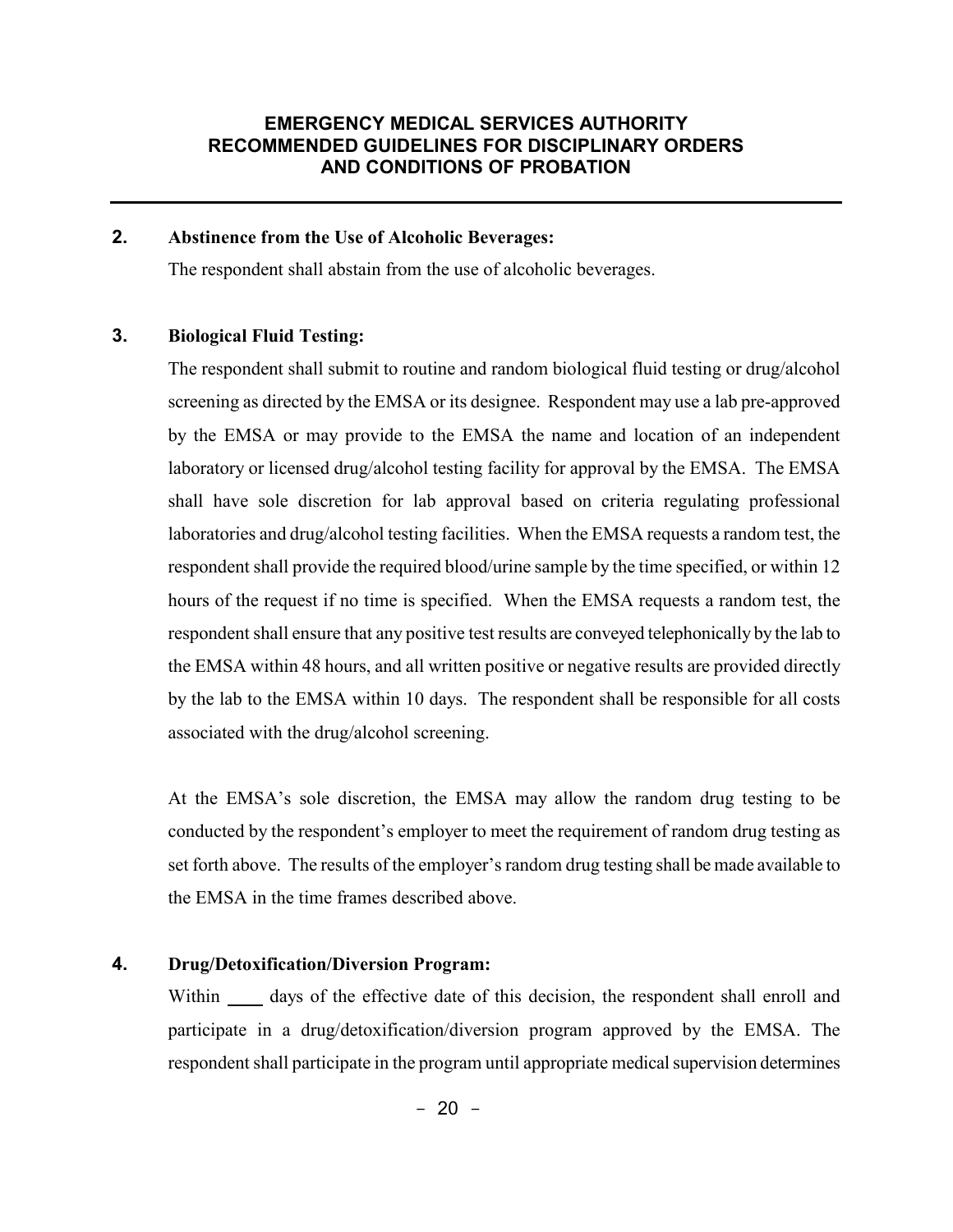#### **2. Abstinence from the Use of Alcoholic Beverages:**

The respondent shall abstain from the use of alcoholic beverages.

#### **3. Biological Fluid Testing:**

The respondent shall submit to routine and random biological fluid testing or drug/alcohol screening as directed by the EMSA or its designee. Respondent may use a lab pre-approved by the EMSA or may provide to the EMSA the name and location of an independent laboratory or licensed drug/alcohol testing facility for approval by the EMSA. The EMSA shall have sole discretion for lab approval based on criteria regulating professional laboratories and drug/alcohol testing facilities. When the EMSA requests a random test, the respondent shall provide the required blood/urine sample by the time specified, or within 12 hours of the request if no time is specified. When the EMSA requests a random test, the respondent shall ensure that any positive test results are conveyed telephonically by the lab to the EMSA within 48 hours, and all written positive or negative results are provided directly by the lab to the EMSA within 10 days. The respondent shall be responsible for all costs associated with the drug/alcohol screening.

At the EMSA's sole discretion, the EMSA may allow the random drug testing to be conducted by the respondent's employer to meet the requirement of random drug testing as set forth above. The results of the employer's random drug testing shall be made available to the EMSA in the time frames described above.

#### **4. Drug/Detoxification/Diversion Program:**

Within days of the effective date of this decision, the respondent shall enroll and participate in a drug/detoxification/diversion program approved by the EMSA. The respondent shall participate in the program until appropriate medical supervision determines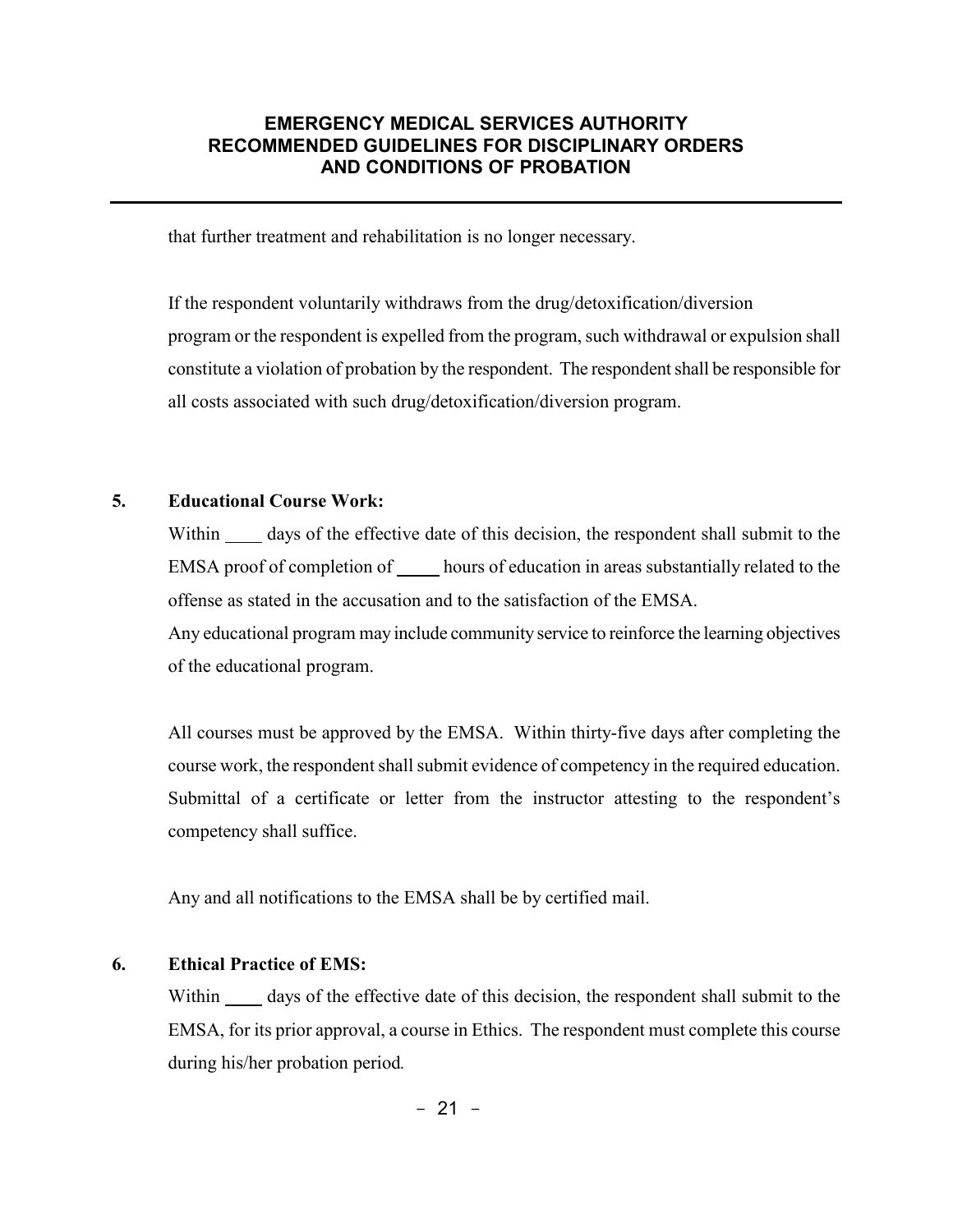that further treatment and rehabilitation is no longer necessary.

If the respondent voluntarily withdraws from the drug/detoxification/diversion program or the respondent is expelled from the program, such withdrawal or expulsion shall constitute a violation of probation by the respondent. The respondent shall be responsible for all costs associated with such drug/detoxification/diversion program.

#### **5. Educational Course Work:**

Within <u>equal</u> days of the effective date of this decision, the respondent shall submit to the EMSA proof of completion of hours of education in areas substantially related to the offense as stated in the accusation and to the satisfaction of the EMSA.

Any educational program may include community service to reinforce the learning objectives of the educational program.

All courses must be approved by the EMSA. Within thirty-five days after completing the course work, the respondent shall submit evidence of competency in the required education. Submittal of a certificate or letter from the instructor attesting to the respondent's competency shall suffice.

Any and all notifications to the EMSA shall be by certified mail.

#### **6. Ethical Practice of EMS:**

Within <u>same</u> days of the effective date of this decision, the respondent shall submit to the EMSA, for its prior approval, a course in Ethics. The respondent must complete this course during his/her probation period*.*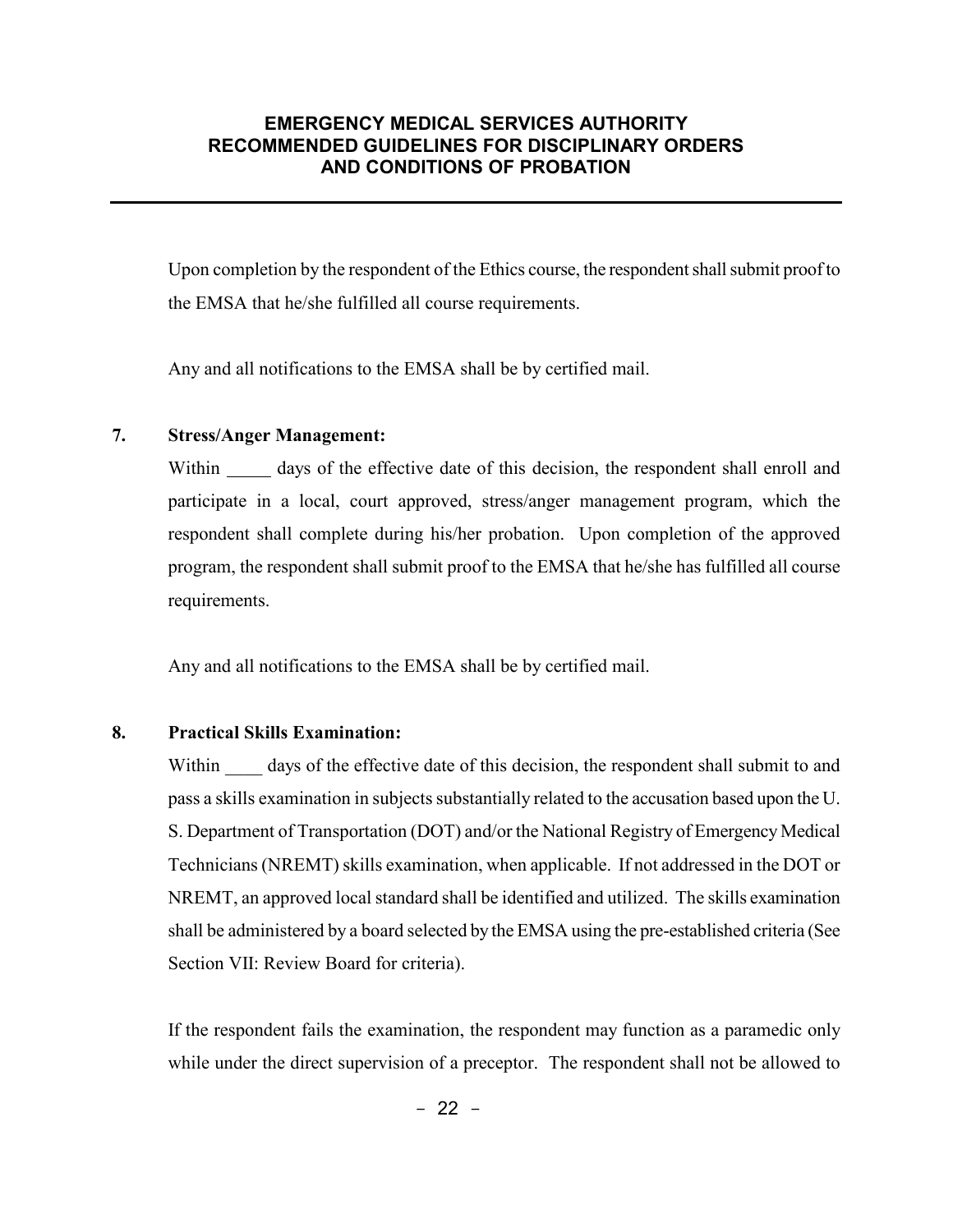Upon completion by the respondent of the Ethics course, the respondent shall submit proof to the EMSA that he/she fulfilled all course requirements.

Any and all notifications to the EMSA shall be by certified mail.

#### **7. Stress/Anger Management:**

Within days of the effective date of this decision, the respondent shall enroll and participate in a local, court approved, stress/anger management program, which the respondent shall complete during his/her probation. Upon completion of the approved program, the respondent shall submit proof to the EMSA that he/she has fulfilled all course requirements.

Any and all notifications to the EMSA shall be by certified mail.

#### **8. Practical Skills Examination:**

Within days of the effective date of this decision, the respondent shall submit to and pass a skills examination in subjects substantially related to the accusation based upon the U. S. Department of Transportation (DOT) and/or the National Registry of Emergency Medical Technicians (NREMT) skills examination, when applicable. If not addressed in the DOT or NREMT, an approved local standard shall be identified and utilized. The skills examination shall be administered by a board selected by the EMSA using the pre-established criteria (See Section VII: Review Board for criteria).

If the respondent fails the examination, the respondent may function as a paramedic only while under the direct supervision of a preceptor. The respondent shall not be allowed to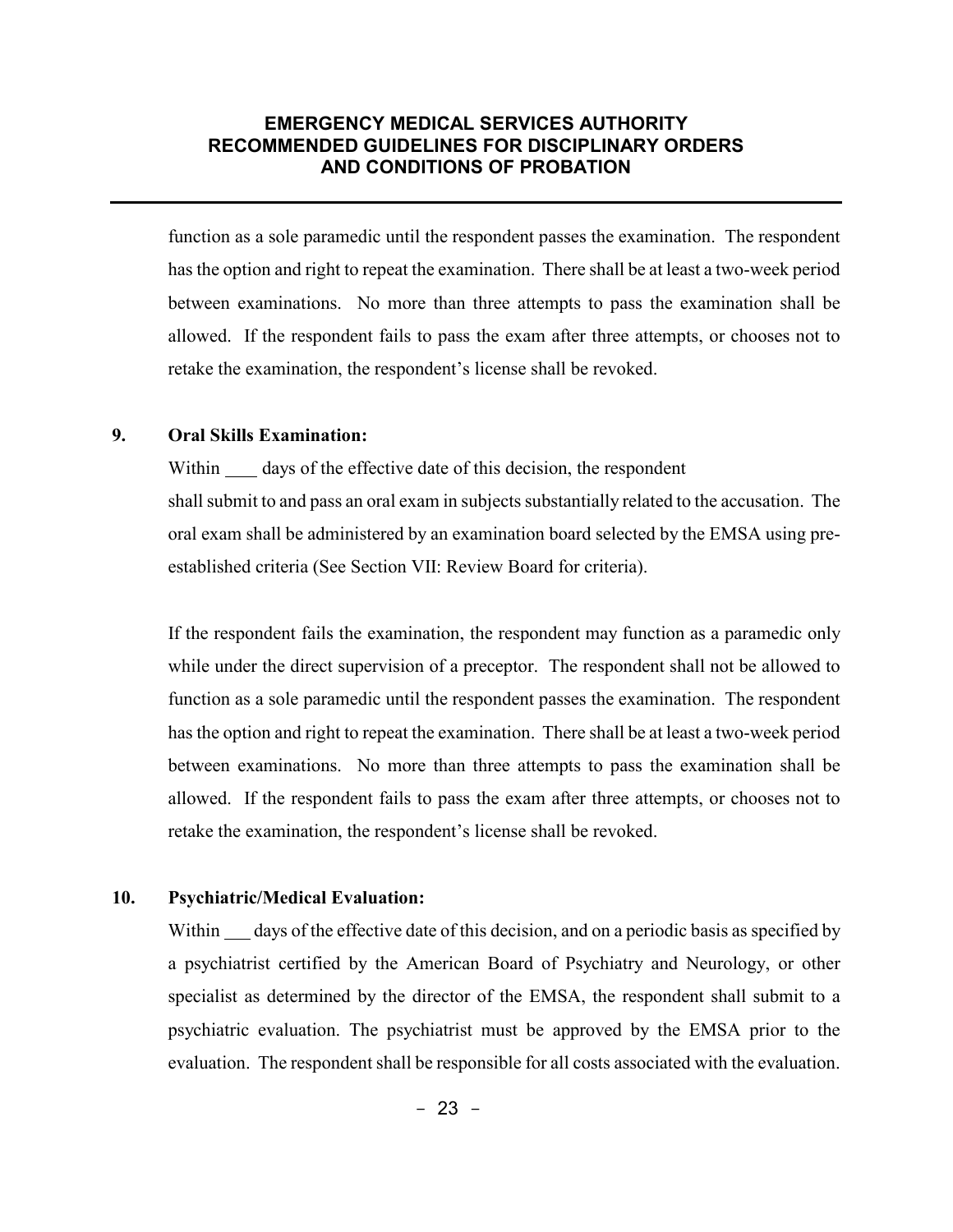function as a sole paramedic until the respondent passes the examination. The respondent has the option and right to repeat the examination. There shall be at least a two-week period between examinations. No more than three attempts to pass the examination shall be allowed. If the respondent fails to pass the exam after three attempts, or chooses not to retake the examination, the respondent's license shall be revoked.

#### **9. Oral Skills Examination:**

Within days of the effective date of this decision, the respondent shall submit to and pass an oral exam in subjects substantially related to the accusation. The oral exam shall be administered by an examination board selected by the EMSA using preestablished criteria (See Section VII: Review Board for criteria).

If the respondent fails the examination, the respondent may function as a paramedic only while under the direct supervision of a preceptor. The respondent shall not be allowed to function as a sole paramedic until the respondent passes the examination. The respondent has the option and right to repeat the examination. There shall be at least a two-week period between examinations. No more than three attempts to pass the examination shall be allowed. If the respondent fails to pass the exam after three attempts, or chooses not to retake the examination, the respondent's license shall be revoked.

#### **10. Psychiatric/Medical Evaluation:**

Within <u>days of the effective date of this decision</u>, and on a periodic basis as specified by a psychiatrist certified by the American Board of Psychiatry and Neurology, or other specialist as determined by the director of the EMSA, the respondent shall submit to a psychiatric evaluation. The psychiatrist must be approved by the EMSA prior to the evaluation. The respondent shall be responsible for all costs associated with the evaluation.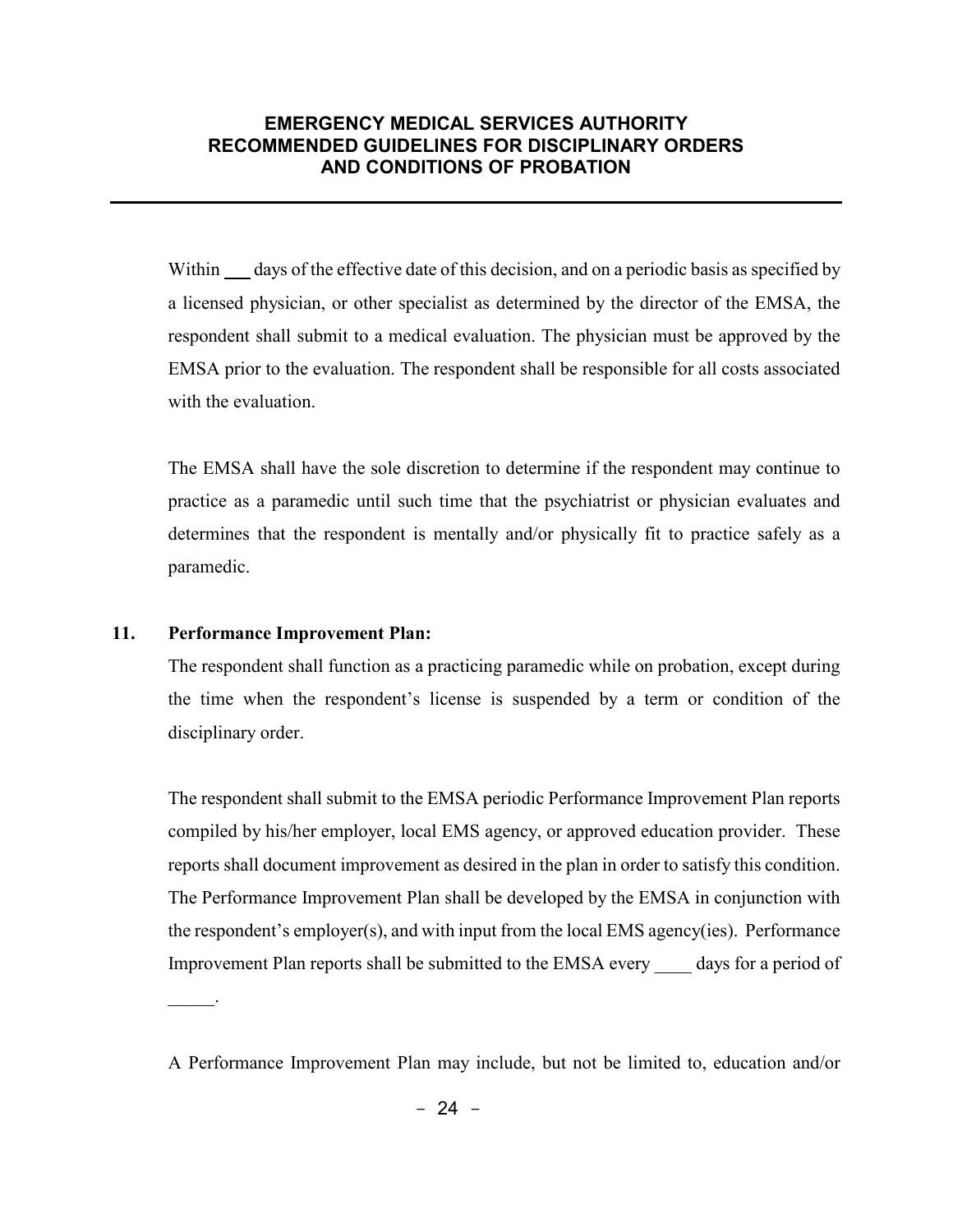Within days of the effective date of this decision, and on a periodic basis as specified by a licensed physician, or other specialist as determined by the director of the EMSA, the respondent shall submit to a medical evaluation. The physician must be approved by the EMSA prior to the evaluation. The respondent shall be responsible for all costs associated with the evaluation.

The EMSA shall have the sole discretion to determine if the respondent may continue to practice as a paramedic until such time that the psychiatrist or physician evaluates and determines that the respondent is mentally and/or physically fit to practice safely as a paramedic.

#### **11. Performance Improvement Plan:**

 $\frac{1}{2}$ 

The respondent shall function as a practicing paramedic while on probation, except during the time when the respondent's license is suspended by a term or condition of the disciplinary order.

The respondent shall submit to the EMSA periodic Performance Improvement Plan reports compiled by his/her employer, local EMS agency, or approved education provider. These reports shall document improvement as desired in the plan in order to satisfy this condition. The Performance Improvement Plan shall be developed by the EMSA in conjunction with the respondent's employer(s), and with input from the local EMS agency(ies). Performance Improvement Plan reports shall be submitted to the EMSA every \_\_\_\_ days for a period of

A Performance Improvement Plan may include, but not be limited to, education and/or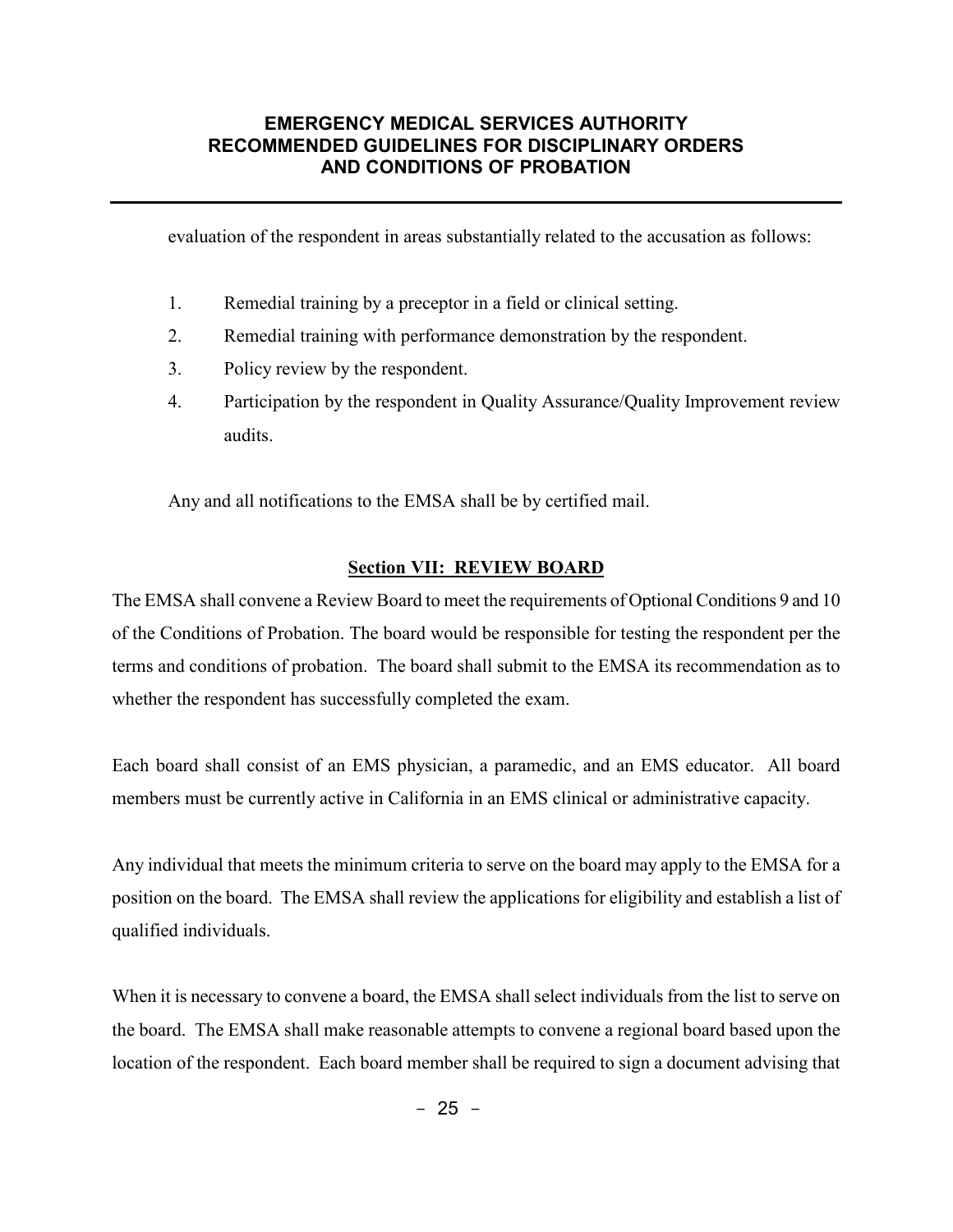evaluation of the respondent in areas substantially related to the accusation as follows:

- 1. Remedial training by a preceptor in a field or clinical setting.
- 2. Remedial training with performance demonstration by the respondent.
- 3. Policy review by the respondent.
- 4. Participation by the respondent in Quality Assurance/Quality Improvement review audits.

Any and all notifications to the EMSA shall be by certified mail.

#### **Section VII: REVIEW BOARD**

The EMSA shall convene a Review Board to meet the requirements of Optional Conditions 9 and 10 of the Conditions of Probation. The board would be responsible for testing the respondent per the terms and conditions of probation. The board shall submit to the EMSA its recommendation as to whether the respondent has successfully completed the exam.

Each board shall consist of an EMS physician, a paramedic, and an EMS educator. All board members must be currently active in California in an EMS clinical or administrative capacity.

Any individual that meets the minimum criteria to serve on the board may apply to the EMSA for a position on the board. The EMSA shall review the applications for eligibility and establish a list of qualified individuals.

When it is necessary to convene a board, the EMSA shall select individuals from the list to serve on the board. The EMSA shall make reasonable attempts to convene a regional board based upon the location of the respondent. Each board member shall be required to sign a document advising that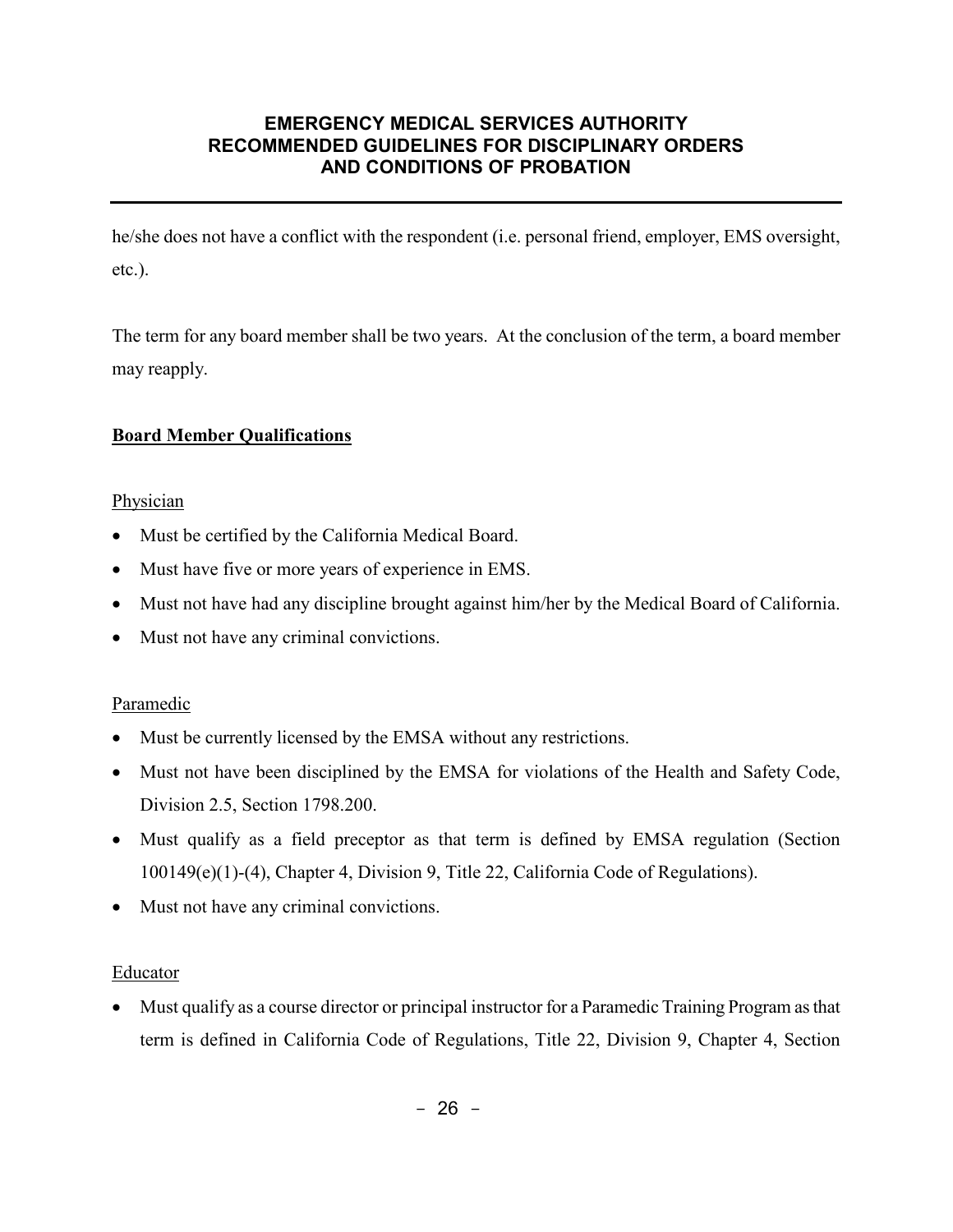he/she does not have a conflict with the respondent (i.e. personal friend, employer, EMS oversight, etc.).

The term for any board member shall be two years. At the conclusion of the term, a board member may reapply.

# **Board Member Qualifications**

#### **Physician**

- Must be certified by the California Medical Board.
- Must have five or more years of experience in EMS.
- Must not have had any discipline brought against him/her by the Medical Board of California.
- Must not have any criminal convictions.

# Paramedic

- Must be currently licensed by the EMSA without any restrictions.
- Must not have been disciplined by the EMSA for violations of the Health and Safety Code, Division 2.5, Section 1798.200.
- Must qualify as a field preceptor as that term is defined by EMSA regulation (Section 100149(e)(1)-(4), Chapter 4, Division 9, Title 22, California Code of Regulations).
- Must not have any criminal convictions.

# Educator

• Must qualify as a course director or principal instructor for a Paramedic Training Program as that term is defined in California Code of Regulations, Title 22, Division 9, Chapter 4, Section